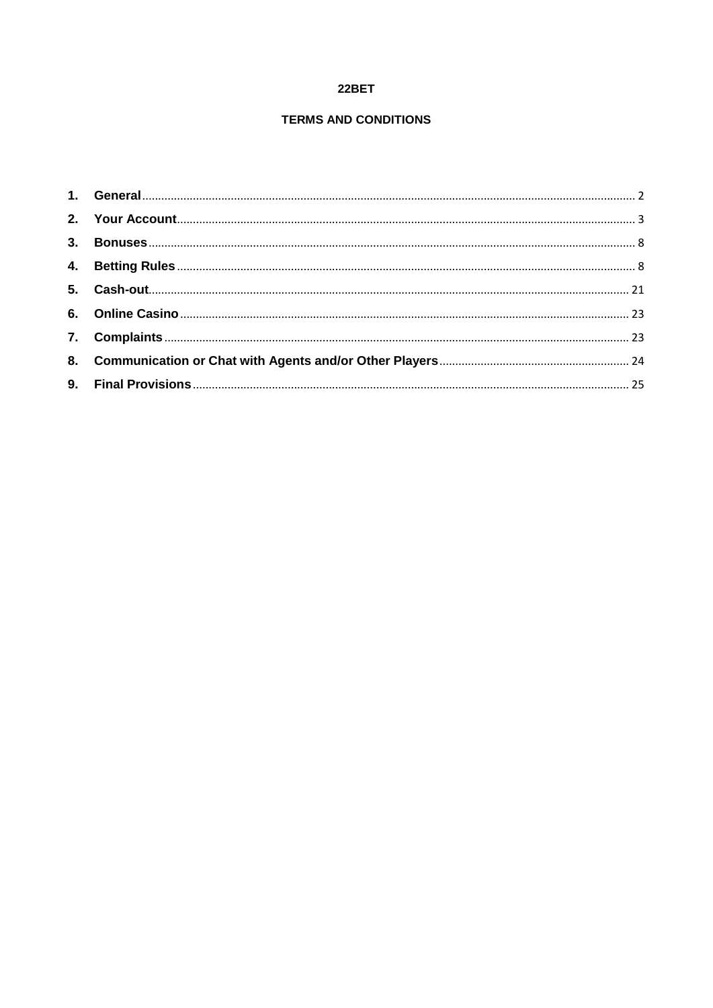# 22BET

# **TERMS AND CONDITIONS**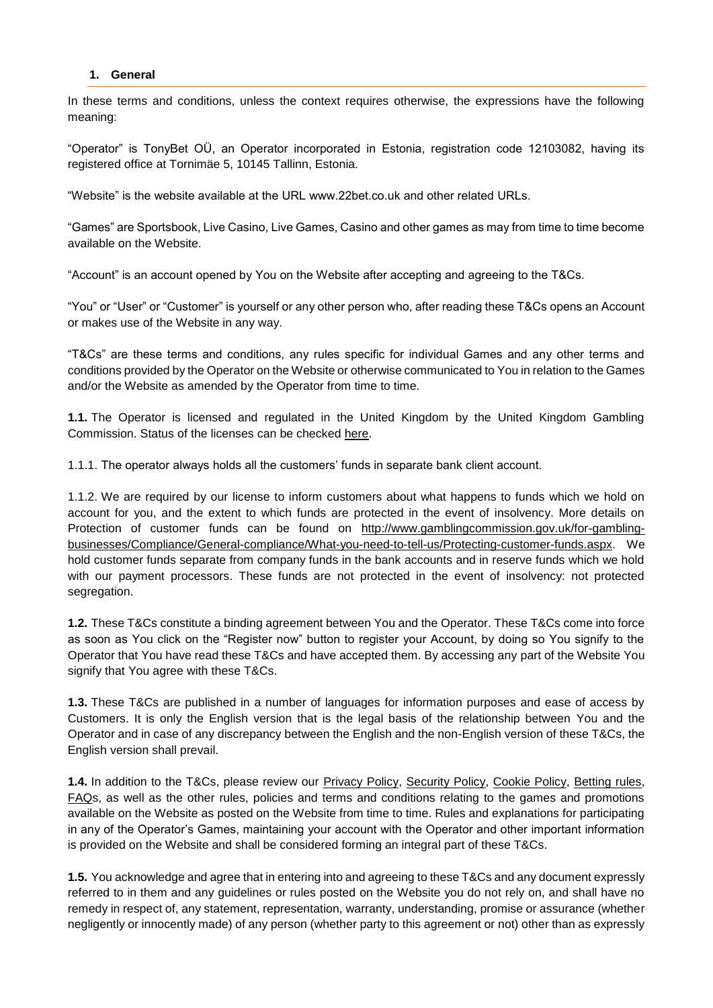#### <span id="page-1-0"></span>**1. General**

In these terms and conditions, unless the context requires otherwise, the expressions have the following meaning:

"Operator" is TonyBet OÜ, an Operator incorporated in Estonia, registration code 12103082, having its registered office at Tornimäe 5, 10145 Tallinn, Estonia.

"Website" is the website available at the URL www.22bet.co.uk and other related URLs.

"Games" are Sportsbook, Live Casino, Live Games, Casino and other games as may from time to time become available on the Website.

"Account" is an account opened by You on the Website after accepting and agreeing to the T&Cs.

"You" or "User" or "Customer" is yourself or any other person who, after reading these T&Cs opens an Account or makes use of the Website in any way.

"T&Cs" are these terms and conditions, any rules specific for individual Games and any other terms and conditions provided by the Operator on the Website or otherwise communicated to You in relation to the Games and/or the Website as amended by the Operator from time to time.

**1.1.** The Operator is licensed and regulated in the United Kingdom by the United Kingdom Gambling Commission. Status of the licenses can be checked [here.](https://secure.gamblingcommission.gov.uk/PublicRegister/Search/Detail/39126)

1.1.1. The operator always holds all the customers' funds in separate bank client account.

1.1.2. We are required by our license to inform customers about what happens to funds which we hold on account for you, and the extent to which funds are protected in the event of insolvency. More details on Protection of customer funds can be found on [http://www.gamblingcommission.gov.uk/for-gambling](http://www.gamblingcommission.gov.uk/for-gambling-businesses/Compliance/General-compliance/What-you-need-to-tell-us/Protecting-customer-funds.aspx)[businesses/Compliance/General-compliance/What-you-need-to-tell-us/Protecting-customer-funds.aspx.](http://www.gamblingcommission.gov.uk/for-gambling-businesses/Compliance/General-compliance/What-you-need-to-tell-us/Protecting-customer-funds.aspx) We hold customer funds separate from company funds in the bank accounts and in reserve funds which we hold with our payment processors. These funds are not protected in the event of insolvency: not protected segregation.

**1.2.** These T&Cs constitute a binding agreement between You and the Operator. These T&Cs come into force as soon as You click on the "Register now" button to register your Account, by doing so You signify to the Operator that You have read these T&Cs and have accepted them. By accessing any part of the Website You signify that You agree with these T&Cs.

**1.3.** These T&Cs are published in a number of languages for information purposes and ease of access by Customers. It is only the English version that is the legal basis of the relationship between You and the Operator and in case of any discrepancy between the English and the non-English version of these T&Cs, the English version shall prevail.

**1.4.** In addition to the T&Cs, please review our [Privacy Policy, Security Policy, Cookie Policy,](https://tonybet.com/security) [Betting rules,](https://tonybet.com/betting-rules) [FAQs](https://tonybet.com/faq), as well as the other rules, policies and terms and conditions relating to the games and promotions available on the Website as posted on the Website from time to time. Rules and explanations for participating in any of the Operator's Games, maintaining your account with the Operator and other important information is provided on the Website and shall be considered forming an integral part of these T&Cs.

**1.5.** You acknowledge and agree that in entering into and agreeing to these T&Cs and any document expressly referred to in them and any guidelines or rules posted on the Website you do not rely on, and shall have no remedy in respect of, any statement, representation, warranty, understanding, promise or assurance (whether negligently or innocently made) of any person (whether party to this agreement or not) other than as expressly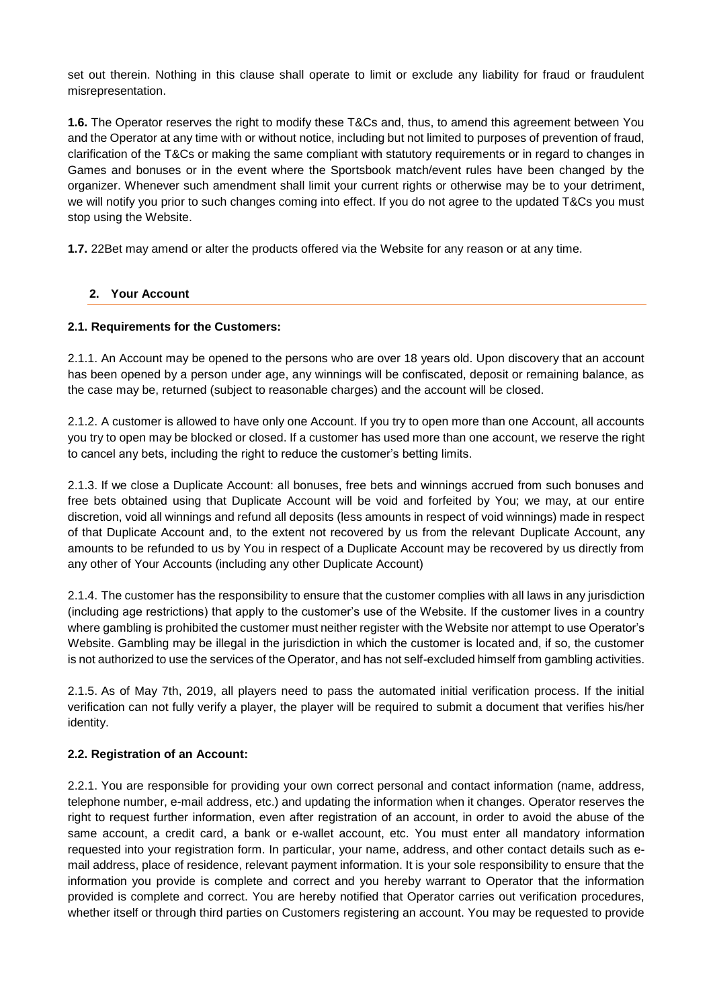set out therein. Nothing in this clause shall operate to limit or exclude any liability for fraud or fraudulent misrepresentation.

**1.6.** The Operator reserves the right to modify these T&Cs and, thus, to amend this agreement between You and the Operator at any time with or without notice, including but not limited to purposes of prevention of fraud, clarification of the T&Cs or making the same compliant with statutory requirements or in regard to changes in Games and bonuses or in the event where the Sportsbook match/event rules have been changed by the organizer. Whenever such amendment shall limit your current rights or otherwise may be to your detriment, we will notify you prior to such changes coming into effect. If you do not agree to the updated T&Cs you must stop using the Website.

**1.7.** 22Bet may amend or alter the products offered via the Website for any reason or at any time.

# <span id="page-2-0"></span>**2. Your Account**

## **2.1. Requirements for the Customers:**

2.1.1. An Account may be opened to the persons who are over 18 years old. Upon discovery that an account has been opened by a person under age, any winnings will be confiscated, deposit or remaining balance, as the case may be, returned (subject to reasonable charges) and the account will be closed.

2.1.2. A customer is allowed to have only one Account. If you try to open more than one Account, all accounts you try to open may be blocked or closed. If a customer has used more than one account, we reserve the right to cancel any bets, including the right to reduce the customer's betting limits.

2.1.3. If we close a Duplicate Account: all bonuses, free bets and winnings accrued from such bonuses and free bets obtained using that Duplicate Account will be void and forfeited by You; we may, at our entire discretion, void all winnings and refund all deposits (less amounts in respect of void winnings) made in respect of that Duplicate Account and, to the extent not recovered by us from the relevant Duplicate Account, any amounts to be refunded to us by You in respect of a Duplicate Account may be recovered by us directly from any other of Your Accounts (including any other Duplicate Account)

2.1.4. The customer has the responsibility to ensure that the customer complies with all laws in any jurisdiction (including age restrictions) that apply to the customer's use of the Website. If the customer lives in a country where gambling is prohibited the customer must neither register with the Website nor attempt to use Operator's Website. Gambling may be illegal in the jurisdiction in which the customer is located and, if so, the customer is not authorized to use the services of the Operator, and has not self-excluded himself from gambling activities.

2.1.5. As of May 7th, 2019, all players need to pass the automated initial verification process. If the initial verification can not fully verify a player, the player will be required to submit a document that verifies his/her identity.

## **2.2. Registration of an Account:**

2.2.1. You are responsible for providing your own correct personal and contact information (name, address, telephone number, e-mail address, etc.) and updating the information when it changes. Operator reserves the right to request further information, even after registration of an account, in order to avoid the abuse of the same account, a credit card, a bank or e-wallet account, etc. You must enter all mandatory information requested into your registration form. In particular, your name, address, and other contact details such as email address, place of residence, relevant payment information. It is your sole responsibility to ensure that the information you provide is complete and correct and you hereby warrant to Operator that the information provided is complete and correct. You are hereby notified that Operator carries out verification procedures, whether itself or through third parties on Customers registering an account. You may be requested to provide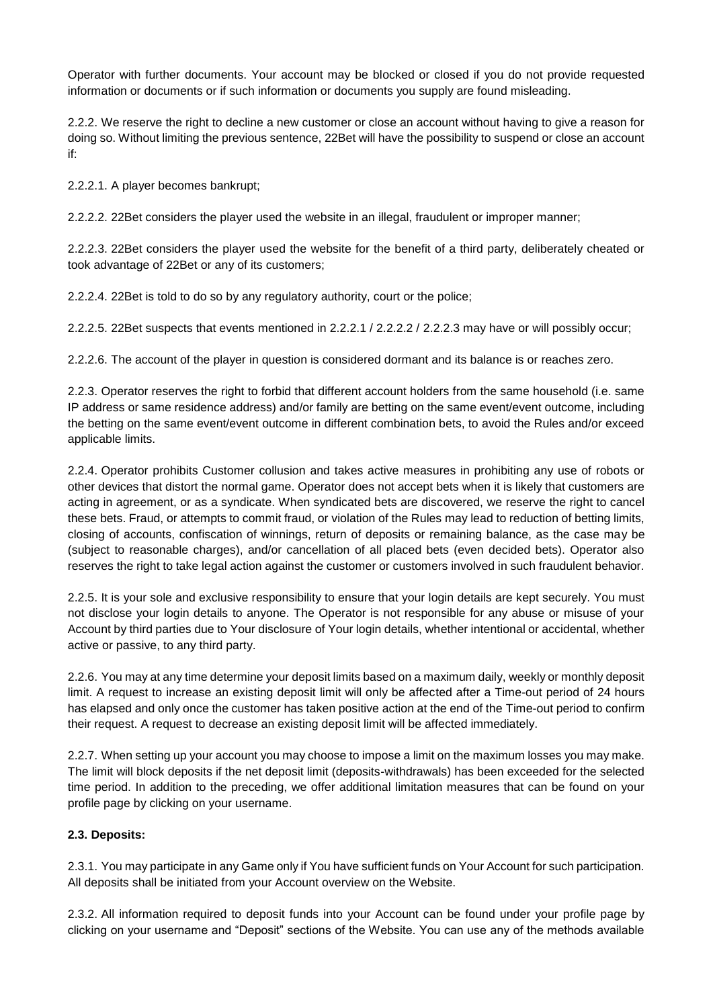Operator with further documents. Your account may be blocked or closed if you do not provide requested information or documents or if such information or documents you supply are found misleading.

2.2.2. We reserve the right to decline a new customer or close an account without having to give a reason for doing so. Without limiting the previous sentence, 22Bet will have the possibility to suspend or close an account if:

2.2.2.1. A player becomes bankrupt;

2.2.2.2. 22Bet considers the player used the website in an illegal, fraudulent or improper manner;

2.2.2.3. 22Bet considers the player used the website for the benefit of a third party, deliberately cheated or took advantage of 22Bet or any of its customers;

2.2.2.4. 22Bet is told to do so by any regulatory authority, court or the police;

2.2.2.5. 22Bet suspects that events mentioned in 2.2.2.1 / 2.2.2.2 / 2.2.2.3 may have or will possibly occur;

2.2.2.6. The account of the player in question is considered dormant and its balance is or reaches zero.

2.2.3. Operator reserves the right to forbid that different account holders from the same household (i.e. same IP address or same residence address) and/or family are betting on the same event/event outcome, including the betting on the same event/event outcome in different combination bets, to avoid the Rules and/or exceed applicable limits.

2.2.4. Operator prohibits Customer collusion and takes active measures in prohibiting any use of robots or other devices that distort the normal game. Operator does not accept bets when it is likely that customers are acting in agreement, or as a syndicate. When syndicated bets are discovered, we reserve the right to cancel these bets. Fraud, or attempts to commit fraud, or violation of the Rules may lead to reduction of betting limits, closing of accounts, confiscation of winnings, return of deposits or remaining balance, as the case may be (subject to reasonable charges), and/or cancellation of all placed bets (even decided bets). Operator also reserves the right to take legal action against the customer or customers involved in such fraudulent behavior.

2.2.5. It is your sole and exclusive responsibility to ensure that your login details are kept securely. You must not disclose your login details to anyone. The Operator is not responsible for any abuse or misuse of your Account by third parties due to Your disclosure of Your login details, whether intentional or accidental, whether active or passive, to any third party.

2.2.6. You may at any time determine your deposit limits based on a maximum daily, weekly or monthly deposit limit. A request to increase an existing deposit limit will only be affected after a Time-out period of 24 hours has elapsed and only once the customer has taken positive action at the end of the Time-out period to confirm their request. A request to decrease an existing deposit limit will be affected immediately.

2.2.7. When setting up your account you may choose to impose a limit on the maximum losses you may make. The limit will block deposits if the net deposit limit (deposits-withdrawals) has been exceeded for the selected time period. In addition to the preceding, we offer additional limitation measures that can be found on your profile page by clicking on your username.

# **2.3. Deposits:**

2.3.1. You may participate in any Game only if You have sufficient funds on Your Account for such participation. All deposits shall be initiated from your Account overview on the Website.

2.3.2. All information required to deposit funds into your Account can be found under your profile page by clicking on your username and "Deposit" sections of the Website. You can use any of the methods available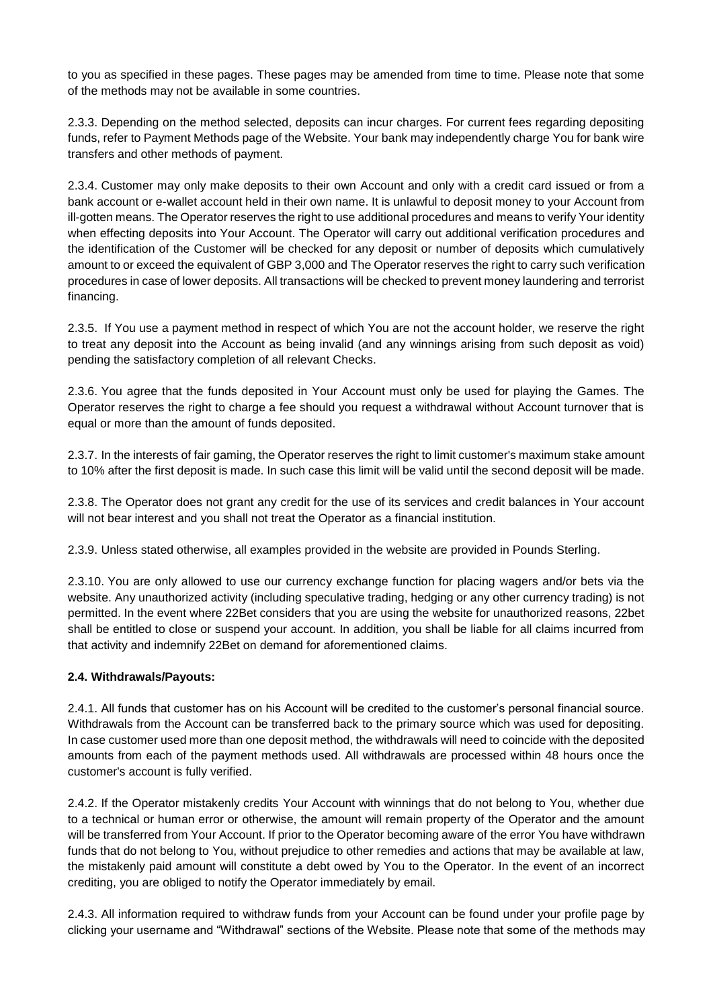to you as specified in these pages. These pages may be amended from time to time. Please note that some of the methods may not be available in some countries.

2.3.3. Depending on the method selected, deposits can incur charges. For current fees regarding depositing funds, refer to Payment Methods page of the Website. Your bank may independently charge You for bank wire transfers and other methods of payment.

2.3.4. Customer may only make deposits to their own Account and only with a credit card issued or from a bank account or e-wallet account held in their own name. It is unlawful to deposit money to your Account from ill-gotten means. The Operator reserves the right to use additional procedures and means to verify Your identity when effecting deposits into Your Account. The Operator will carry out additional verification procedures and the identification of the Customer will be checked for any deposit or number of deposits which cumulatively amount to or exceed the equivalent of GBP 3,000 and The Operator reserves the right to carry such verification procedures in case of lower deposits. All transactions will be checked to prevent money laundering and terrorist financing.

2.3.5. If You use a payment method in respect of which You are not the account holder, we reserve the right to treat any deposit into the Account as being invalid (and any winnings arising from such deposit as void) pending the satisfactory completion of all relevant Checks.

2.3.6. You agree that the funds deposited in Your Account must only be used for playing the Games. The Operator reserves the right to charge a fee should you request a withdrawal without Account turnover that is equal or more than the amount of funds deposited.

2.3.7. In the interests of fair gaming, the Operator reserves the right to limit customer's maximum stake amount to 10% after the first deposit is made. In such case this limit will be valid until the second deposit will be made.

2.3.8. The Operator does not grant any credit for the use of its services and credit balances in Your account will not bear interest and you shall not treat the Operator as a financial institution.

2.3.9. Unless stated otherwise, all examples provided in the website are provided in Pounds Sterling.

2.3.10. You are only allowed to use our currency exchange function for placing wagers and/or bets via the website. Any unauthorized activity (including speculative trading, hedging or any other currency trading) is not permitted. In the event where 22Bet considers that you are using the website for unauthorized reasons, 22bet shall be entitled to close or suspend your account. In addition, you shall be liable for all claims incurred from that activity and indemnify 22Bet on demand for aforementioned claims.

## **2.4. Withdrawals/Payouts:**

2.4.1. All funds that customer has on his Account will be credited to the customer's personal financial source. Withdrawals from the Account can be transferred back to the primary source which was used for depositing. In case customer used more than one deposit method, the withdrawals will need to coincide with the deposited amounts from each of the payment methods used. All withdrawals are processed within 48 hours once the customer's account is fully verified.

2.4.2. If the Operator mistakenly credits Your Account with winnings that do not belong to You, whether due to a technical or human error or otherwise, the amount will remain property of the Operator and the amount will be transferred from Your Account. If prior to the Operator becoming aware of the error You have withdrawn funds that do not belong to You, without prejudice to other remedies and actions that may be available at law, the mistakenly paid amount will constitute a debt owed by You to the Operator. In the event of an incorrect crediting, you are obliged to notify the Operator immediately by email.

2.4.3. All information required to withdraw funds from your Account can be found under your profile page by clicking your username and "Withdrawal" sections of the Website. Please note that some of the methods may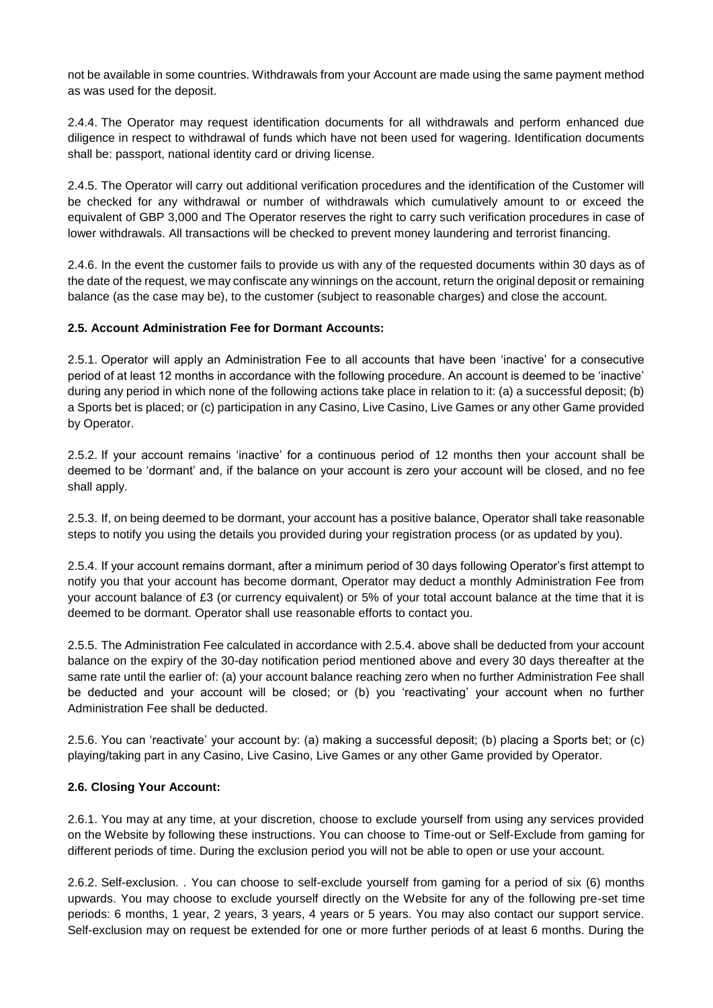not be available in some countries. Withdrawals from your Account are made using the same payment method as was used for the deposit.

2.4.4. The Operator may request identification documents for all withdrawals and perform enhanced due diligence in respect to withdrawal of funds which have not been used for wagering. Identification documents shall be: passport, national identity card or driving license.

2.4.5. The Operator will carry out additional verification procedures and the identification of the Customer will be checked for any withdrawal or number of withdrawals which cumulatively amount to or exceed the equivalent of GBP 3,000 and The Operator reserves the right to carry such verification procedures in case of lower withdrawals. All transactions will be checked to prevent money laundering and terrorist financing.

2.4.6. In the event the customer fails to provide us with any of the requested documents within 30 days as of the date of the request, we may confiscate any winnings on the account, return the original deposit or remaining balance (as the case may be), to the customer (subject to reasonable charges) and close the account.

## **2.5. Account Administration Fee for Dormant Accounts:**

2.5.1. Operator will apply an Administration Fee to all accounts that have been 'inactive' for a consecutive period of at least 12 months in accordance with the following procedure. An account is deemed to be 'inactive' during any period in which none of the following actions take place in relation to it: (a) a successful deposit; (b) a Sports bet is placed; or (c) participation in any Casino, Live Casino, Live Games or any other Game provided by Operator.

2.5.2. If your account remains 'inactive' for a continuous period of 12 months then your account shall be deemed to be 'dormant' and, if the balance on your account is zero your account will be closed, and no fee shall apply.

2.5.3. If, on being deemed to be dormant, your account has a positive balance, Operator shall take reasonable steps to notify you using the details you provided during your registration process (or as updated by you).

2.5.4. If your account remains dormant, after a minimum period of 30 days following Operator's first attempt to notify you that your account has become dormant, Operator may deduct a monthly Administration Fee from your account balance of £3 (or currency equivalent) or 5% of your total account balance at the time that it is deemed to be dormant. Operator shall use reasonable efforts to contact you.

2.5.5. The Administration Fee calculated in accordance with 2.5.4. above shall be deducted from your account balance on the expiry of the 30-day notification period mentioned above and every 30 days thereafter at the same rate until the earlier of: (a) your account balance reaching zero when no further Administration Fee shall be deducted and your account will be closed; or (b) you 'reactivating' your account when no further Administration Fee shall be deducted.

2.5.6. You can 'reactivate' your account by: (a) making a successful deposit; (b) placing a Sports bet; or (c) playing/taking part in any Casino, Live Casino, Live Games or any other Game provided by Operator.

## **2.6. Closing Your Account:**

2.6.1. You may at any time, at your discretion, choose to exclude yourself from using any services provided on the Website by following these instructions. You can choose to Time-out or Self-Exclude from gaming for different periods of time. During the exclusion period you will not be able to open or use your account.

2.6.2. Self-exclusion. . You can choose to self-exclude yourself from gaming for a period of six (6) months upwards. You may choose to exclude yourself directly on the Website for any of the following pre-set time periods: 6 months, 1 year, 2 years, 3 years, 4 years or 5 years. You may also contact our support service. Self-exclusion may on request be extended for one or more further periods of at least 6 months. During the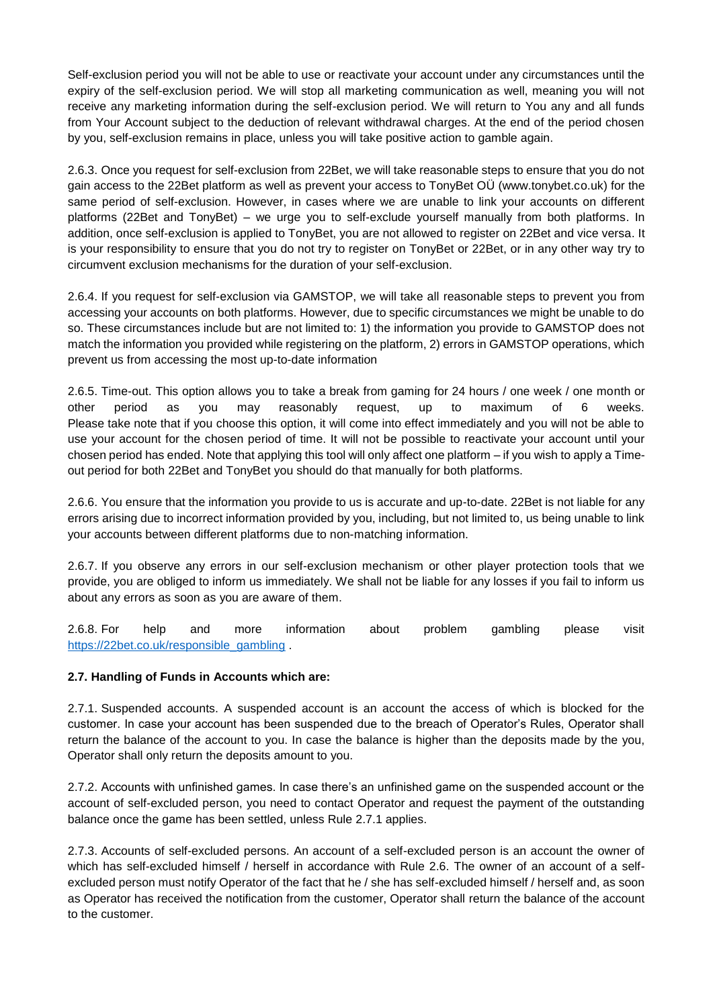Self-exclusion period you will not be able to use or reactivate your account under any circumstances until the expiry of the self-exclusion period. We will stop all marketing communication as well, meaning you will not receive any marketing information during the self-exclusion period. We will return to You any and all funds from Your Account subject to the deduction of relevant withdrawal charges. At the end of the period chosen by you, self-exclusion remains in place, unless you will take positive action to gamble again.

2.6.3. Once you request for self-exclusion from 22Bet, we will take reasonable steps to ensure that you do not gain access to the 22Bet platform as well as prevent your access to TonyBet OÜ (www.tonybet.co.uk) for the same period of self-exclusion. However, in cases where we are unable to link your accounts on different platforms (22Bet and TonyBet) – we urge you to self-exclude yourself manually from both platforms. In addition, once self-exclusion is applied to TonyBet, you are not allowed to register on 22Bet and vice versa. It is your responsibility to ensure that you do not try to register on TonyBet or 22Bet, or in any other way try to circumvent exclusion mechanisms for the duration of your self-exclusion.

2.6.4. If you request for self-exclusion via GAMSTOP, we will take all reasonable steps to prevent you from accessing your accounts on both platforms. However, due to specific circumstances we might be unable to do so. These circumstances include but are not limited to: 1) the information you provide to GAMSTOP does not match the information you provided while registering on the platform, 2) errors in GAMSTOP operations, which prevent us from accessing the most up-to-date information

2.6.5. Time-out. This option allows you to take a break from gaming for 24 hours / one week / one month or other period as you may reasonably request, up to maximum of 6 weeks. Please take note that if you choose this option, it will come into effect immediately and you will not be able to use your account for the chosen period of time. It will not be possible to reactivate your account until your chosen period has ended. Note that applying this tool will only affect one platform – if you wish to apply a Timeout period for both 22Bet and TonyBet you should do that manually for both platforms.

2.6.6. You ensure that the information you provide to us is accurate and up-to-date. 22Bet is not liable for any errors arising due to incorrect information provided by you, including, but not limited to, us being unable to link your accounts between different platforms due to non-matching information.

2.6.7. If you observe any errors in our self-exclusion mechanism or other player protection tools that we provide, you are obliged to inform us immediately. We shall not be liable for any losses if you fail to inform us about any errors as soon as you are aware of them.

2.6.8. For help and more information about problem gambling please visit [https://22bet.co.uk/responsible\\_gambling](https://22bet.co.uk/responsible_gambling) .

## **2.7. Handling of Funds in Accounts which are:**

2.7.1. Suspended accounts. A suspended account is an account the access of which is blocked for the customer. In case your account has been suspended due to the breach of Operator's Rules, Operator shall return the balance of the account to you. In case the balance is higher than the deposits made by the you, Operator shall only return the deposits amount to you.

2.7.2. Accounts with unfinished games. In case there's an unfinished game on the suspended account or the account of self-excluded person, you need to contact Operator and request the payment of the outstanding balance once the game has been settled, unless Rule 2.7.1 applies.

2.7.3. Accounts of self-excluded persons. An account of a self-excluded person is an account the owner of which has self-excluded himself / herself in accordance with Rule 2.6. The owner of an account of a selfexcluded person must notify Operator of the fact that he / she has self-excluded himself / herself and, as soon as Operator has received the notification from the customer, Operator shall return the balance of the account to the customer.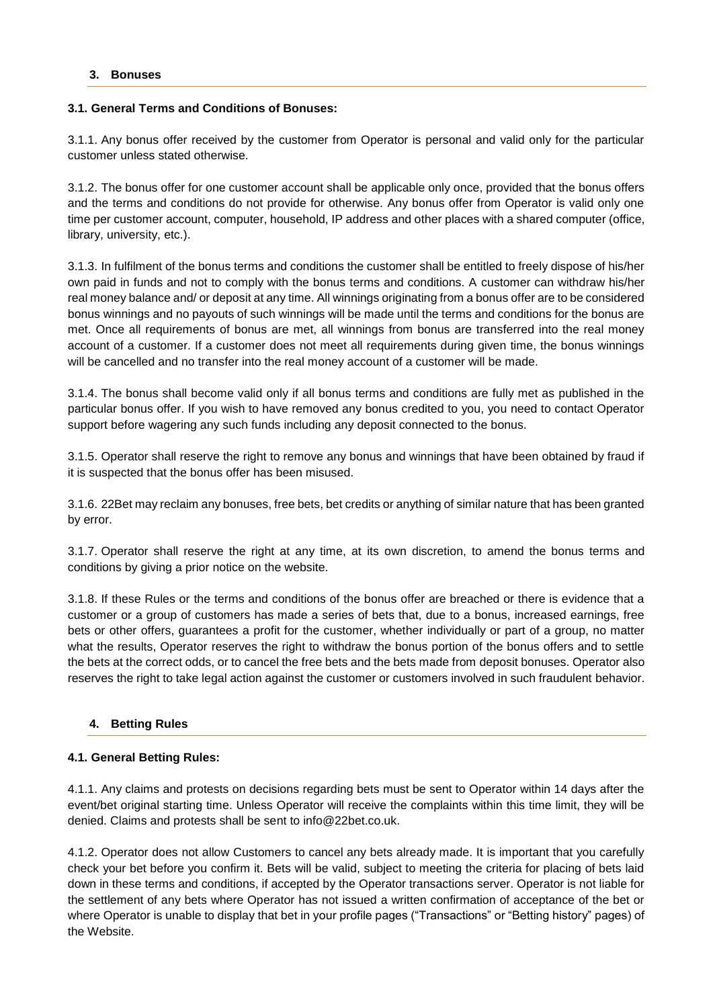## <span id="page-7-0"></span>**3. Bonuses**

## **3.1. General Terms and Conditions of Bonuses:**

3.1.1. Any bonus offer received by the customer from Operator is personal and valid only for the particular customer unless stated otherwise.

3.1.2. The bonus offer for one customer account shall be applicable only once, provided that the bonus offers and the terms and conditions do not provide for otherwise. Any bonus offer from Operator is valid only one time per customer account, computer, household, IP address and other places with a shared computer (office, library, university, etc.).

3.1.3. In fulfilment of the bonus terms and conditions the customer shall be entitled to freely dispose of his/her own paid in funds and not to comply with the bonus terms and conditions. A customer can withdraw his/her real money balance and/ or deposit at any time. All winnings originating from a bonus offer are to be considered bonus winnings and no payouts of such winnings will be made until the terms and conditions for the bonus are met. Once all requirements of bonus are met, all winnings from bonus are transferred into the real money account of a customer. If a customer does not meet all requirements during given time, the bonus winnings will be cancelled and no transfer into the real money account of a customer will be made.

3.1.4. The bonus shall become valid only if all bonus terms and conditions are fully met as published in the particular bonus offer. If you wish to have removed any bonus credited to you, you need to contact Operator support before wagering any such funds including any deposit connected to the bonus.

3.1.5. Operator shall reserve the right to remove any bonus and winnings that have been obtained by fraud if it is suspected that the bonus offer has been misused.

3.1.6. 22Bet may reclaim any bonuses, free bets, bet credits or anything of similar nature that has been granted by error.

3.1.7. Operator shall reserve the right at any time, at its own discretion, to amend the bonus terms and conditions by giving a prior notice on the website.

3.1.8. If these Rules or the terms and conditions of the bonus offer are breached or there is evidence that a customer or a group of customers has made a series of bets that, due to a bonus, increased earnings, free bets or other offers, guarantees a profit for the customer, whether individually or part of a group, no matter what the results, Operator reserves the right to withdraw the bonus portion of the bonus offers and to settle the bets at the correct odds, or to cancel the free bets and the bets made from deposit bonuses. Operator also reserves the right to take legal action against the customer or customers involved in such fraudulent behavior.

# <span id="page-7-1"></span>**4. Betting Rules**

## **4.1. General Betting Rules:**

4.1.1. Any claims and protests on decisions regarding bets must be sent to Operator within 14 days after the event/bet original starting time. Unless Operator will receive the complaints within this time limit, they will be denied. Claims and protests shall be sent to info@22bet.co.uk.

4.1.2. Operator does not allow Customers to cancel any bets already made. It is important that you carefully check your bet before you confirm it. Bets will be valid, subject to meeting the criteria for placing of bets laid down in these terms and conditions, if accepted by the Operator transactions server. Operator is not liable for the settlement of any bets where Operator has not issued a written confirmation of acceptance of the bet or where Operator is unable to display that bet in your profile pages ("Transactions" or "Betting history" pages) of the Website.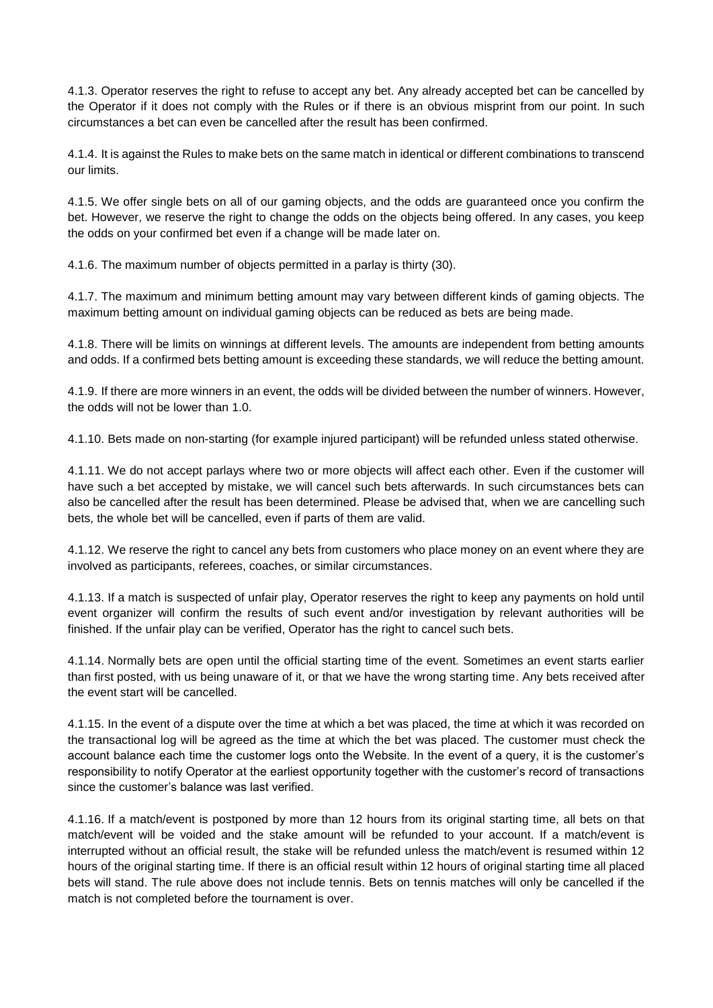4.1.3. Operator reserves the right to refuse to accept any bet. Any already accepted bet can be cancelled by the Operator if it does not comply with the Rules or if there is an obvious misprint from our point. In such circumstances a bet can even be cancelled after the result has been confirmed.

4.1.4. It is against the Rules to make bets on the same match in identical or different combinations to transcend our limits.

4.1.5. We offer single bets on all of our gaming objects, and the odds are guaranteed once you confirm the bet. However, we reserve the right to change the odds on the objects being offered. In any cases, you keep the odds on your confirmed bet even if a change will be made later on.

4.1.6. The maximum number of objects permitted in a parlay is thirty (30).

4.1.7. The maximum and minimum betting amount may vary between different kinds of gaming objects. The maximum betting amount on individual gaming objects can be reduced as bets are being made.

4.1.8. There will be limits on winnings at different levels. The amounts are independent from betting amounts and odds. If a confirmed bets betting amount is exceeding these standards, we will reduce the betting amount.

4.1.9. If there are more winners in an event, the odds will be divided between the number of winners. However, the odds will not be lower than 1.0.

4.1.10. Bets made on non-starting (for example injured participant) will be refunded unless stated otherwise.

4.1.11. We do not accept parlays where two or more objects will affect each other. Even if the customer will have such a bet accepted by mistake, we will cancel such bets afterwards. In such circumstances bets can also be cancelled after the result has been determined. Please be advised that, when we are cancelling such bets, the whole bet will be cancelled, even if parts of them are valid.

4.1.12. We reserve the right to cancel any bets from customers who place money on an event where they are involved as participants, referees, coaches, or similar circumstances.

4.1.13. If a match is suspected of unfair play, Operator reserves the right to keep any payments on hold until event organizer will confirm the results of such event and/or investigation by relevant authorities will be finished. If the unfair play can be verified, Operator has the right to cancel such bets.

4.1.14. Normally bets are open until the official starting time of the event. Sometimes an event starts earlier than first posted, with us being unaware of it, or that we have the wrong starting time. Any bets received after the event start will be cancelled.

4.1.15. In the event of a dispute over the time at which a bet was placed, the time at which it was recorded on the transactional log will be agreed as the time at which the bet was placed. The customer must check the account balance each time the customer logs onto the Website. In the event of a query, it is the customer's responsibility to notify Operator at the earliest opportunity together with the customer's record of transactions since the customer's balance was last verified.

4.1.16. If a match/event is postponed by more than 12 hours from its original starting time, all bets on that match/event will be voided and the stake amount will be refunded to your account. If a match/event is interrupted without an official result, the stake will be refunded unless the match/event is resumed within 12 hours of the original starting time. If there is an official result within 12 hours of original starting time all placed bets will stand. The rule above does not include tennis. Bets on tennis matches will only be cancelled if the match is not completed before the tournament is over.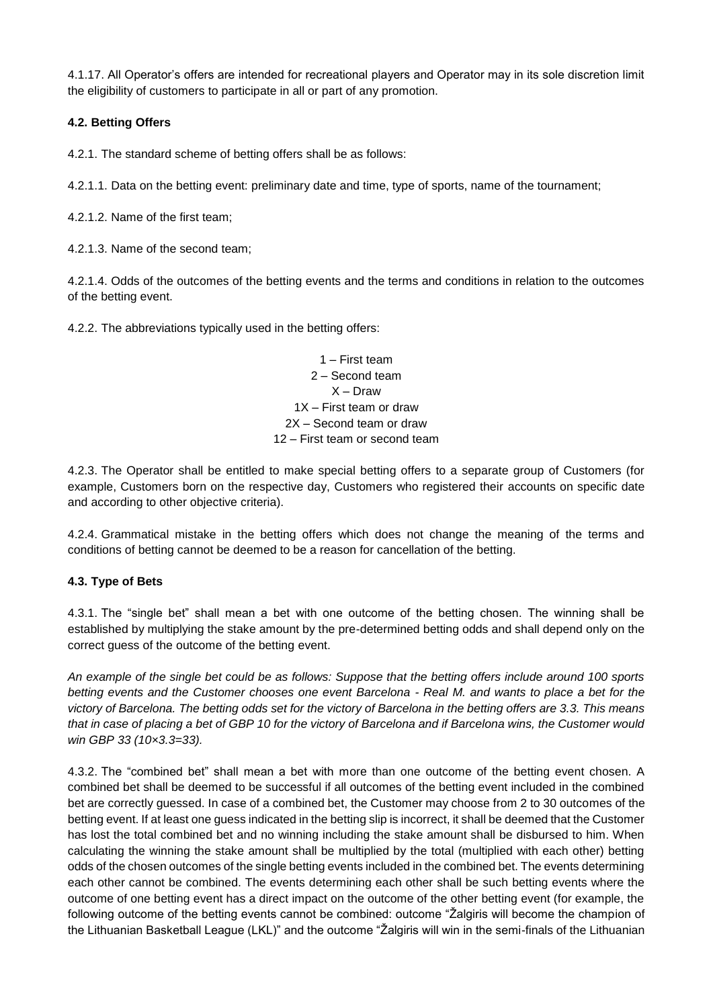4.1.17. All Operator's offers are intended for recreational players and Operator may in its sole discretion limit the eligibility of customers to participate in all or part of any promotion.

# **4.2. Betting Offers**

4.2.1. The standard scheme of betting offers shall be as follows:

4.2.1.1. Data on the betting event: preliminary date and time, type of sports, name of the tournament;

4.2.1.2. Name of the first team;

4.2.1.3. Name of the second team;

4.2.1.4. Odds of the outcomes of the betting events and the terms and conditions in relation to the outcomes of the betting event.

4.2.2. The abbreviations typically used in the betting offers:

1 – First team 2 – Second team X – Draw 1X – First team or draw 2X – Second team or draw 12 – First team or second team

4.2.3. The Operator shall be entitled to make special betting offers to a separate group of Customers (for example, Customers born on the respective day, Customers who registered their accounts on specific date and according to other objective criteria).

4.2.4. Grammatical mistake in the betting offers which does not change the meaning of the terms and conditions of betting cannot be deemed to be a reason for cancellation of the betting.

# **4.3. Type of Bets**

4.3.1. The "single bet" shall mean a bet with one outcome of the betting chosen. The winning shall be established by multiplying the stake amount by the pre-determined betting odds and shall depend only on the correct guess of the outcome of the betting event.

*An example of the single bet could be as follows: Suppose that the betting offers include around 100 sports betting events and the Customer chooses one event Barcelona - Real M. and wants to place a bet for the victory of Barcelona. The betting odds set for the victory of Barcelona in the betting offers are 3.3. This means that in case of placing a bet of GBP 10 for the victory of Barcelona and if Barcelona wins, the Customer would win GBP 33 (10×3.3=33).*

4.3.2. The "combined bet" shall mean a bet with more than one outcome of the betting event chosen. A combined bet shall be deemed to be successful if all outcomes of the betting event included in the combined bet are correctly guessed. In case of a combined bet, the Customer may choose from 2 to 30 outcomes of the betting event. If at least one guess indicated in the betting slip is incorrect, it shall be deemed that the Customer has lost the total combined bet and no winning including the stake amount shall be disbursed to him. When calculating the winning the stake amount shall be multiplied by the total (multiplied with each other) betting odds of the chosen outcomes of the single betting events included in the combined bet. The events determining each other cannot be combined. The events determining each other shall be such betting events where the outcome of one betting event has a direct impact on the outcome of the other betting event (for example, the following outcome of the betting events cannot be combined: outcome "Žalgiris will become the champion of the Lithuanian Basketball League (LKL)" and the outcome "Žalgiris will win in the semi-finals of the Lithuanian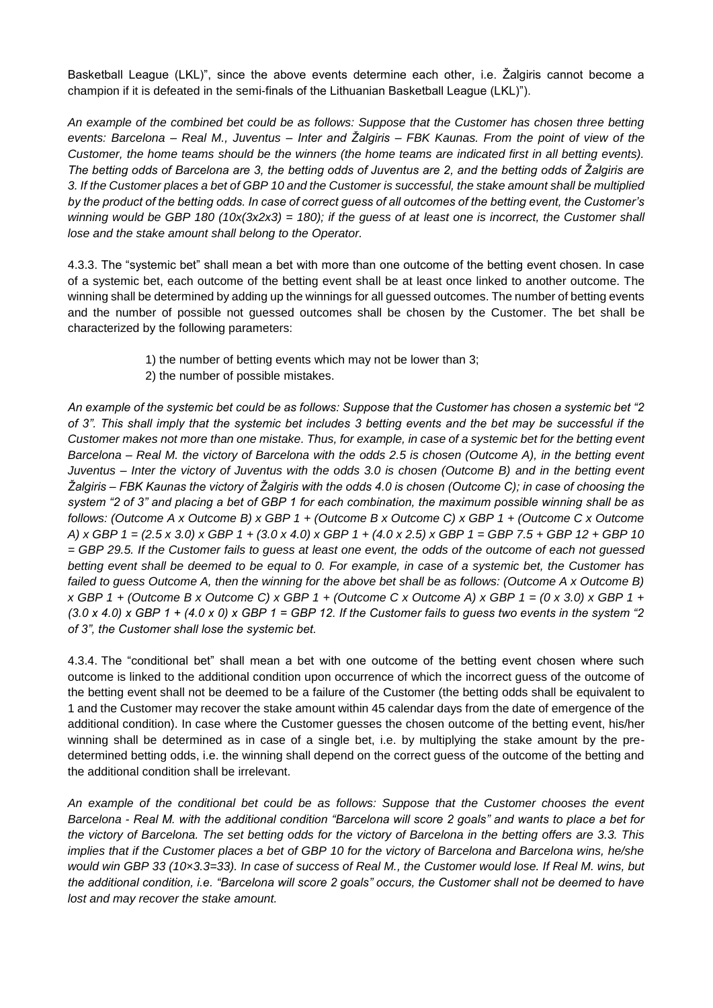Basketball League (LKL)", since the above events determine each other, i.e. Žalgiris cannot become a champion if it is defeated in the semi-finals of the Lithuanian Basketball League (LKL)").

*An example of the combined bet could be as follows: Suppose that the Customer has chosen three betting events: Barcelona – Real M., Juventus – Inter and Žalgiris – FBK Kaunas. From the point of view of the Customer, the home teams should be the winners (the home teams are indicated first in all betting events). The betting odds of Barcelona are 3, the betting odds of Juventus are 2, and the betting odds of Žalgiris are 3. If the Customer places a bet of GBP 10 and the Customer is successful, the stake amount shall be multiplied by the product of the betting odds. In case of correct guess of all outcomes of the betting event, the Customer's winning would be GBP 180 (10x(3x2x3) = 180); if the guess of at least one is incorrect, the Customer shall lose and the stake amount shall belong to the Operator.*

4.3.3. The "systemic bet" shall mean a bet with more than one outcome of the betting event chosen. In case of a systemic bet, each outcome of the betting event shall be at least once linked to another outcome. The winning shall be determined by adding up the winnings for all guessed outcomes. The number of betting events and the number of possible not guessed outcomes shall be chosen by the Customer. The bet shall be characterized by the following parameters:

- 1) the number of betting events which may not be lower than 3;
- 2) the number of possible mistakes.

*An example of the systemic bet could be as follows: Suppose that the Customer has chosen a systemic bet "2 of 3". This shall imply that the systemic bet includes 3 betting events and the bet may be successful if the Customer makes not more than one mistake. Thus, for example, in case of a systemic bet for the betting event Barcelona – Real M. the victory of Barcelona with the odds 2.5 is chosen (Outcome A), in the betting event Juventus – Inter the victory of Juventus with the odds 3.0 is chosen (Outcome B) and in the betting event Žalgiris – FBK Kaunas the victory of Žalgiris with the odds 4.0 is chosen (Outcome C); in case of choosing the system "2 of 3" and placing a bet of GBP 1 for each combination, the maximum possible winning shall be as follows: (Outcome A x Outcome B) x GBP 1 + (Outcome B x Outcome C) x GBP 1 + (Outcome C x Outcome A) x GBP 1 = (2.5 x 3.0) x GBP 1 + (3.0 x 4.0) x GBP 1 + (4.0 x 2.5) x GBP 1 = GBP 7.5 + GBP 12 + GBP 10 = GBP 29.5. If the Customer fails to guess at least one event, the odds of the outcome of each not guessed betting event shall be deemed to be equal to 0. For example, in case of a systemic bet, the Customer has failed to guess Outcome A, then the winning for the above bet shall be as follows: (Outcome A x Outcome B) x GBP 1 + (Outcome B x Outcome C) x GBP 1 + (Outcome C x Outcome A) x GBP 1 = (0 x 3.0) x GBP 1 +*   $(3.0 \times 4.0) \times$  GBP 1 +  $(4.0 \times 0) \times$  GBP 1 = GBP 12. If the Customer fails to quess two events in the system "2" *of 3", the Customer shall lose the systemic bet.*

4.3.4. The "conditional bet" shall mean a bet with one outcome of the betting event chosen where such outcome is linked to the additional condition upon occurrence of which the incorrect guess of the outcome of the betting event shall not be deemed to be a failure of the Customer (the betting odds shall be equivalent to 1 and the Customer may recover the stake amount within 45 calendar days from the date of emergence of the additional condition). In case where the Customer guesses the chosen outcome of the betting event, his/her winning shall be determined as in case of a single bet, i.e. by multiplying the stake amount by the predetermined betting odds, i.e. the winning shall depend on the correct guess of the outcome of the betting and the additional condition shall be irrelevant.

*An example of the conditional bet could be as follows: Suppose that the Customer chooses the event Barcelona - Real M. with the additional condition "Barcelona will score 2 goals" and wants to place a bet for the victory of Barcelona. The set betting odds for the victory of Barcelona in the betting offers are 3.3. This implies that if the Customer places a bet of GBP 10 for the victory of Barcelona and Barcelona wins, he/she would win GBP 33 (10×3.3=33). In case of success of Real M., the Customer would lose. If Real M. wins, but the additional condition, i.e. "Barcelona will score 2 goals" occurs, the Customer shall not be deemed to have lost and may recover the stake amount.*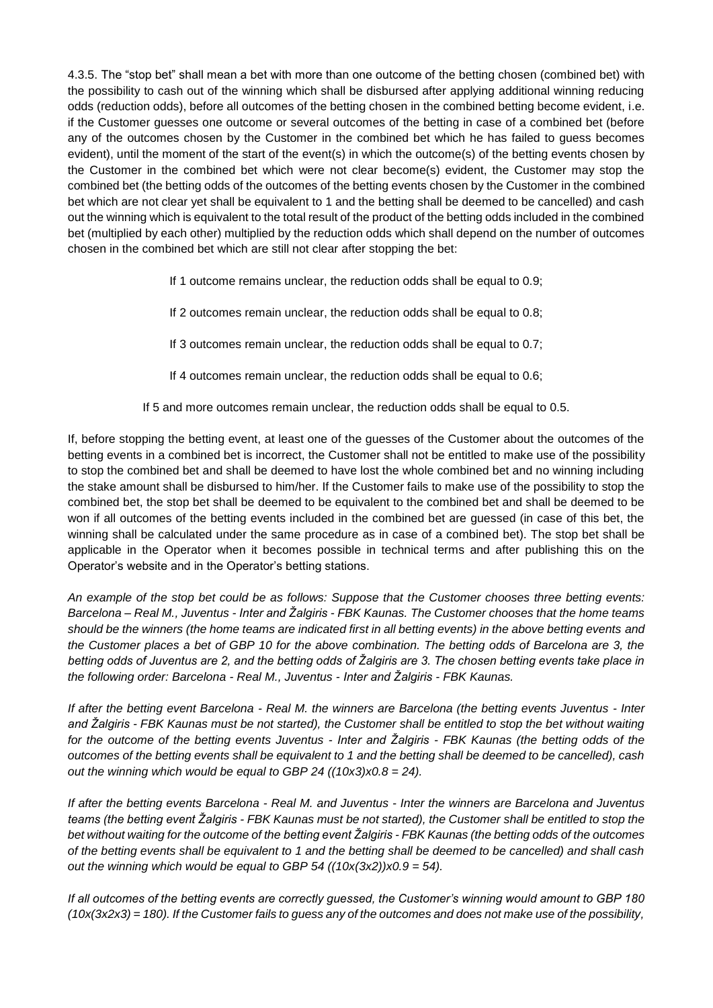4.3.5. The "stop bet" shall mean a bet with more than one outcome of the betting chosen (combined bet) with the possibility to cash out of the winning which shall be disbursed after applying additional winning reducing odds (reduction odds), before all outcomes of the betting chosen in the combined betting become evident, i.e. if the Customer guesses one outcome or several outcomes of the betting in case of a combined bet (before any of the outcomes chosen by the Customer in the combined bet which he has failed to guess becomes evident), until the moment of the start of the event(s) in which the outcome(s) of the betting events chosen by the Customer in the combined bet which were not clear become(s) evident, the Customer may stop the combined bet (the betting odds of the outcomes of the betting events chosen by the Customer in the combined bet which are not clear yet shall be equivalent to 1 and the betting shall be deemed to be cancelled) and cash out the winning which is equivalent to the total result of the product of the betting odds included in the combined bet (multiplied by each other) multiplied by the reduction odds which shall depend on the number of outcomes chosen in the combined bet which are still not clear after stopping the bet:

If 1 outcome remains unclear, the reduction odds shall be equal to 0.9;

If 2 outcomes remain unclear, the reduction odds shall be equal to 0.8;

If 3 outcomes remain unclear, the reduction odds shall be equal to 0.7;

If 4 outcomes remain unclear, the reduction odds shall be equal to 0.6;

If 5 and more outcomes remain unclear, the reduction odds shall be equal to 0.5.

If, before stopping the betting event, at least one of the guesses of the Customer about the outcomes of the betting events in a combined bet is incorrect, the Customer shall not be entitled to make use of the possibility to stop the combined bet and shall be deemed to have lost the whole combined bet and no winning including the stake amount shall be disbursed to him/her. If the Customer fails to make use of the possibility to stop the combined bet, the stop bet shall be deemed to be equivalent to the combined bet and shall be deemed to be won if all outcomes of the betting events included in the combined bet are guessed (in case of this bet, the winning shall be calculated under the same procedure as in case of a combined bet). The stop bet shall be applicable in the Operator when it becomes possible in technical terms and after publishing this on the Operator's website and in the Operator's betting stations.

*An example of the stop bet could be as follows: Suppose that the Customer chooses three betting events: Barcelona – Real M., Juventus - Inter and Žalgiris - FBK Kaunas. The Customer chooses that the home teams should be the winners (the home teams are indicated first in all betting events) in the above betting events and the Customer places a bet of GBP 10 for the above combination. The betting odds of Barcelona are 3, the betting odds of Juventus are 2, and the betting odds of Žalgiris are 3. The chosen betting events take place in the following order: Barcelona - Real M., Juventus - Inter and Žalgiris - FBK Kaunas.*

*If after the betting event Barcelona - Real M. the winners are Barcelona (the betting events Juventus - Inter and Žalgiris - FBK Kaunas must be not started), the Customer shall be entitled to stop the bet without waiting for the outcome of the betting events Juventus - Inter and Žalgiris - FBK Kaunas (the betting odds of the outcomes of the betting events shall be equivalent to 1 and the betting shall be deemed to be cancelled), cash out the winning which would be equal to GBP 24 ((10x3)x0.8 = 24).* 

*If after the betting events Barcelona - Real M. and Juventus - Inter the winners are Barcelona and Juventus teams (the betting event Žalgiris - FBK Kaunas must be not started), the Customer shall be entitled to stop the bet without waiting for the outcome of the betting event Žalgiris - FBK Kaunas (the betting odds of the outcomes of the betting events shall be equivalent to 1 and the betting shall be deemed to be cancelled) and shall cash out the winning which would be equal to GBP 54 ((10x(3x2))x0.9 = 54).*

*If all outcomes of the betting events are correctly guessed, the Customer's winning would amount to GBP 180 (10x(3x2x3) = 180). If the Customer fails to guess any of the outcomes and does not make use of the possibility,*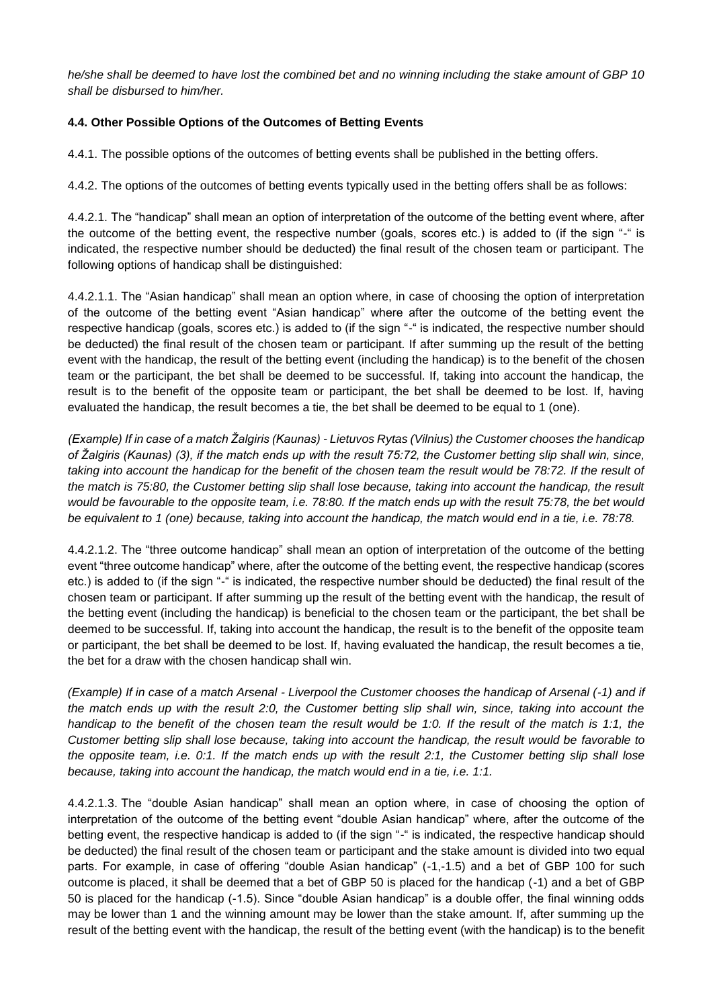*he/she shall be deemed to have lost the combined bet and no winning including the stake amount of GBP 10 shall be disbursed to him/her.*

# **4.4. Other Possible Options of the Outcomes of Betting Events**

4.4.1. The possible options of the outcomes of betting events shall be published in the betting offers.

4.4.2. The options of the outcomes of betting events typically used in the betting offers shall be as follows:

4.4.2.1. The "handicap" shall mean an option of interpretation of the outcome of the betting event where, after the outcome of the betting event, the respective number (goals, scores etc.) is added to (if the sign "-" is indicated, the respective number should be deducted) the final result of the chosen team or participant. The following options of handicap shall be distinguished:

4.4.2.1.1. The "Asian handicap" shall mean an option where, in case of choosing the option of interpretation of the outcome of the betting event "Asian handicap" where after the outcome of the betting event the respective handicap (goals, scores etc.) is added to (if the sign "-" is indicated, the respective number should be deducted) the final result of the chosen team or participant. If after summing up the result of the betting event with the handicap, the result of the betting event (including the handicap) is to the benefit of the chosen team or the participant, the bet shall be deemed to be successful. If, taking into account the handicap, the result is to the benefit of the opposite team or participant, the bet shall be deemed to be lost. If, having evaluated the handicap, the result becomes a tie, the bet shall be deemed to be equal to 1 (one).

*(Example) If in case of a match Žalgiris (Kaunas) - Lietuvos Rytas (Vilnius) the Customer chooses the handicap of Žalgiris (Kaunas) (3), if the match ends up with the result 75:72, the Customer betting slip shall win, since, taking into account the handicap for the benefit of the chosen team the result would be 78:72. If the result of the match is 75:80, the Customer betting slip shall lose because, taking into account the handicap, the result would be favourable to the opposite team, i.e. 78:80. If the match ends up with the result 75:78, the bet would*  be equivalent to 1 (one) because, taking into account the handicap, the match would end in a tie, i.e. 78:78.

4.4.2.1.2. The "three outcome handicap" shall mean an option of interpretation of the outcome of the betting event "three outcome handicap" where, after the outcome of the betting event, the respective handicap (scores etc.) is added to (if the sign "-" is indicated, the respective number should be deducted) the final result of the chosen team or participant. If after summing up the result of the betting event with the handicap, the result of the betting event (including the handicap) is beneficial to the chosen team or the participant, the bet shall be deemed to be successful. If, taking into account the handicap, the result is to the benefit of the opposite team or participant, the bet shall be deemed to be lost. If, having evaluated the handicap, the result becomes a tie, the bet for a draw with the chosen handicap shall win.

*(Example) If in case of a match Arsenal - Liverpool the Customer chooses the handicap of Arsenal (-1) and if the match ends up with the result 2:0, the Customer betting slip shall win, since, taking into account the handicap to the benefit of the chosen team the result would be 1:0. If the result of the match is 1:1, the Customer betting slip shall lose because, taking into account the handicap, the result would be favorable to the opposite team, i.e. 0:1. If the match ends up with the result 2:1, the Customer betting slip shall lose because, taking into account the handicap, the match would end in a tie, i.e. 1:1.*

4.4.2.1.3. The "double Asian handicap" shall mean an option where, in case of choosing the option of interpretation of the outcome of the betting event "double Asian handicap" where, after the outcome of the betting event, the respective handicap is added to (if the sign "-" is indicated, the respective handicap should be deducted) the final result of the chosen team or participant and the stake amount is divided into two equal parts. For example, in case of offering "double Asian handicap" (-1,-1.5) and a bet of GBP 100 for such outcome is placed, it shall be deemed that a bet of GBP 50 is placed for the handicap (-1) and a bet of GBP 50 is placed for the handicap (-1.5). Since "double Asian handicap" is a double offer, the final winning odds may be lower than 1 and the winning amount may be lower than the stake amount. If, after summing up the result of the betting event with the handicap, the result of the betting event (with the handicap) is to the benefit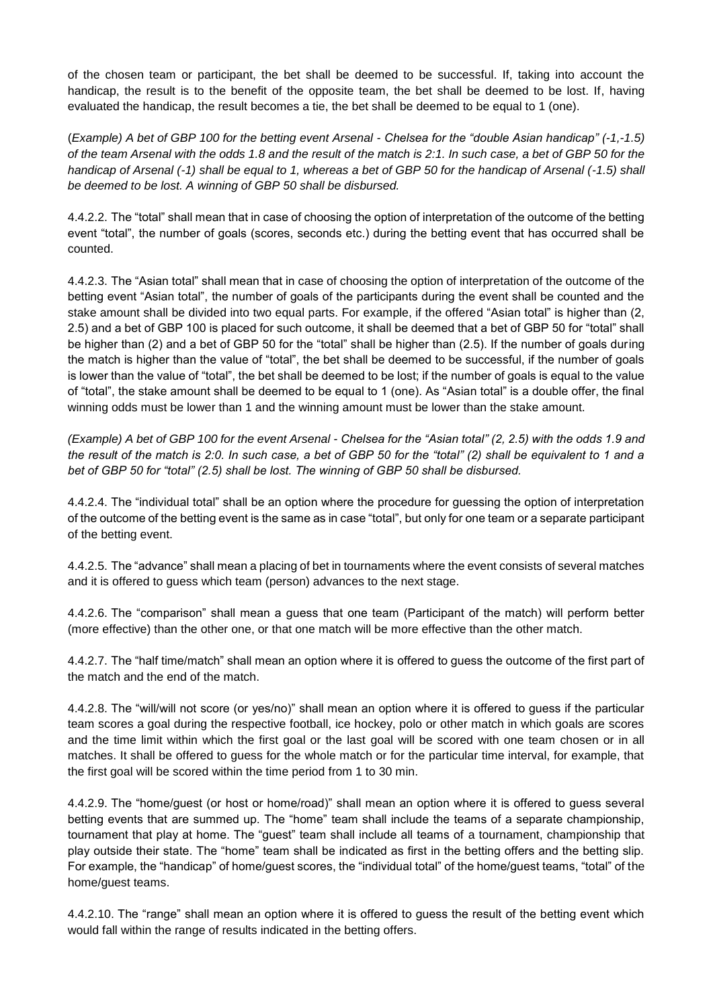of the chosen team or participant, the bet shall be deemed to be successful. If, taking into account the handicap, the result is to the benefit of the opposite team, the bet shall be deemed to be lost. If, having evaluated the handicap, the result becomes a tie, the bet shall be deemed to be equal to 1 (one).

(*Example) A bet of GBP 100 for the betting event Arsenal - Chelsea for the "double Asian handicap" (-1,-1.5) of the team Arsenal with the odds 1.8 and the result of the match is 2:1. In such case, a bet of GBP 50 for the handicap of Arsenal (-1) shall be equal to 1, whereas a bet of GBP 50 for the handicap of Arsenal (-1.5) shall be deemed to be lost. A winning of GBP 50 shall be disbursed.*

4.4.2.2. The "total" shall mean that in case of choosing the option of interpretation of the outcome of the betting event "total", the number of goals (scores, seconds etc.) during the betting event that has occurred shall be counted.

4.4.2.3. The "Asian total" shall mean that in case of choosing the option of interpretation of the outcome of the betting event "Asian total", the number of goals of the participants during the event shall be counted and the stake amount shall be divided into two equal parts. For example, if the offered "Asian total" is higher than (2, 2.5) and a bet of GBP 100 is placed for such outcome, it shall be deemed that a bet of GBP 50 for "total" shall be higher than (2) and a bet of GBP 50 for the "total" shall be higher than (2.5). If the number of goals during the match is higher than the value of "total", the bet shall be deemed to be successful, if the number of goals is lower than the value of "total", the bet shall be deemed to be lost; if the number of goals is equal to the value of "total", the stake amount shall be deemed to be equal to 1 (one). As "Asian total" is a double offer, the final winning odds must be lower than 1 and the winning amount must be lower than the stake amount.

*(Example) A bet of GBP 100 for the event Arsenal - Chelsea for the "Asian total" (2, 2.5) with the odds 1.9 and the result of the match is 2:0. In such case, a bet of GBP 50 for the "total" (2) shall be equivalent to 1 and a bet of GBP 50 for "total" (2.5) shall be lost. The winning of GBP 50 shall be disbursed.*

4.4.2.4. The "individual total" shall be an option where the procedure for guessing the option of interpretation of the outcome of the betting event is the same as in case "total", but only for one team or a separate participant of the betting event.

4.4.2.5. The "advance" shall mean a placing of bet in tournaments where the event consists of several matches and it is offered to guess which team (person) advances to the next stage.

4.4.2.6. The "comparison" shall mean a guess that one team (Participant of the match) will perform better (more effective) than the other one, or that one match will be more effective than the other match.

4.4.2.7. The "half time/match" shall mean an option where it is offered to guess the outcome of the first part of the match and the end of the match.

4.4.2.8. The "will/will not score (or yes/no)" shall mean an option where it is offered to guess if the particular team scores a goal during the respective football, ice hockey, polo or other match in which goals are scores and the time limit within which the first goal or the last goal will be scored with one team chosen or in all matches. It shall be offered to guess for the whole match or for the particular time interval, for example, that the first goal will be scored within the time period from 1 to 30 min.

4.4.2.9. The "home/guest (or host or home/road)" shall mean an option where it is offered to guess several betting events that are summed up. The "home" team shall include the teams of a separate championship, tournament that play at home. The "guest" team shall include all teams of a tournament, championship that play outside their state. The "home" team shall be indicated as first in the betting offers and the betting slip. For example, the "handicap" of home/guest scores, the "individual total" of the home/guest teams, "total" of the home/guest teams.

4.4.2.10. The "range" shall mean an option where it is offered to guess the result of the betting event which would fall within the range of results indicated in the betting offers.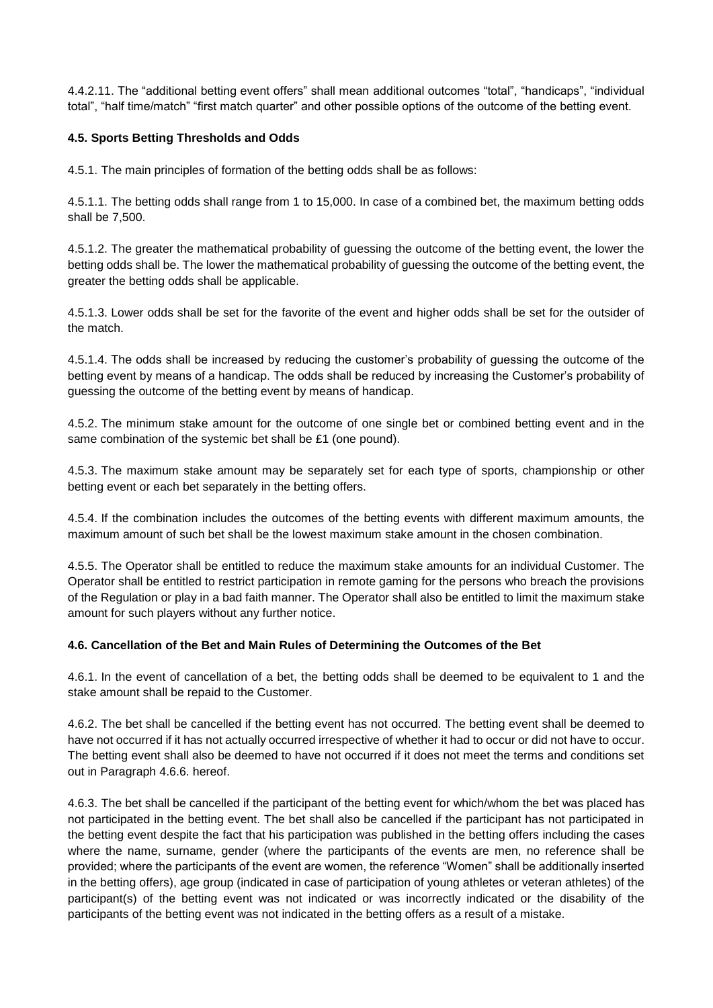4.4.2.11. The "additional betting event offers" shall mean additional outcomes "total", "handicaps", "individual total", "half time/match" "first match quarter" and other possible options of the outcome of the betting event.

## **4.5. Sports Betting Thresholds and Odds**

4.5.1. The main principles of formation of the betting odds shall be as follows:

4.5.1.1. The betting odds shall range from 1 to 15,000. In case of a combined bet, the maximum betting odds shall be 7,500.

4.5.1.2. The greater the mathematical probability of guessing the outcome of the betting event, the lower the betting odds shall be. The lower the mathematical probability of guessing the outcome of the betting event, the greater the betting odds shall be applicable.

4.5.1.3. Lower odds shall be set for the favorite of the event and higher odds shall be set for the outsider of the match.

4.5.1.4. The odds shall be increased by reducing the customer's probability of guessing the outcome of the betting event by means of a handicap. The odds shall be reduced by increasing the Customer's probability of guessing the outcome of the betting event by means of handicap.

4.5.2. The minimum stake amount for the outcome of one single bet or combined betting event and in the same combination of the systemic bet shall be £1 (one pound).

4.5.3. The maximum stake amount may be separately set for each type of sports, championship or other betting event or each bet separately in the betting offers.

4.5.4. If the combination includes the outcomes of the betting events with different maximum amounts, the maximum amount of such bet shall be the lowest maximum stake amount in the chosen combination.

4.5.5. The Operator shall be entitled to reduce the maximum stake amounts for an individual Customer. The Operator shall be entitled to restrict participation in remote gaming for the persons who breach the provisions of the Regulation or play in a bad faith manner. The Operator shall also be entitled to limit the maximum stake amount for such players without any further notice.

## **4.6. Cancellation of the Bet and Main Rules of Determining the Outcomes of the Bet**

4.6.1. In the event of cancellation of a bet, the betting odds shall be deemed to be equivalent to 1 and the stake amount shall be repaid to the Customer.

4.6.2. The bet shall be cancelled if the betting event has not occurred. The betting event shall be deemed to have not occurred if it has not actually occurred irrespective of whether it had to occur or did not have to occur. The betting event shall also be deemed to have not occurred if it does not meet the terms and conditions set out in Paragraph 4.6.6. hereof.

4.6.3. The bet shall be cancelled if the participant of the betting event for which/whom the bet was placed has not participated in the betting event. The bet shall also be cancelled if the participant has not participated in the betting event despite the fact that his participation was published in the betting offers including the cases where the name, surname, gender (where the participants of the events are men, no reference shall be provided; where the participants of the event are women, the reference "Women" shall be additionally inserted in the betting offers), age group (indicated in case of participation of young athletes or veteran athletes) of the participant(s) of the betting event was not indicated or was incorrectly indicated or the disability of the participants of the betting event was not indicated in the betting offers as a result of a mistake.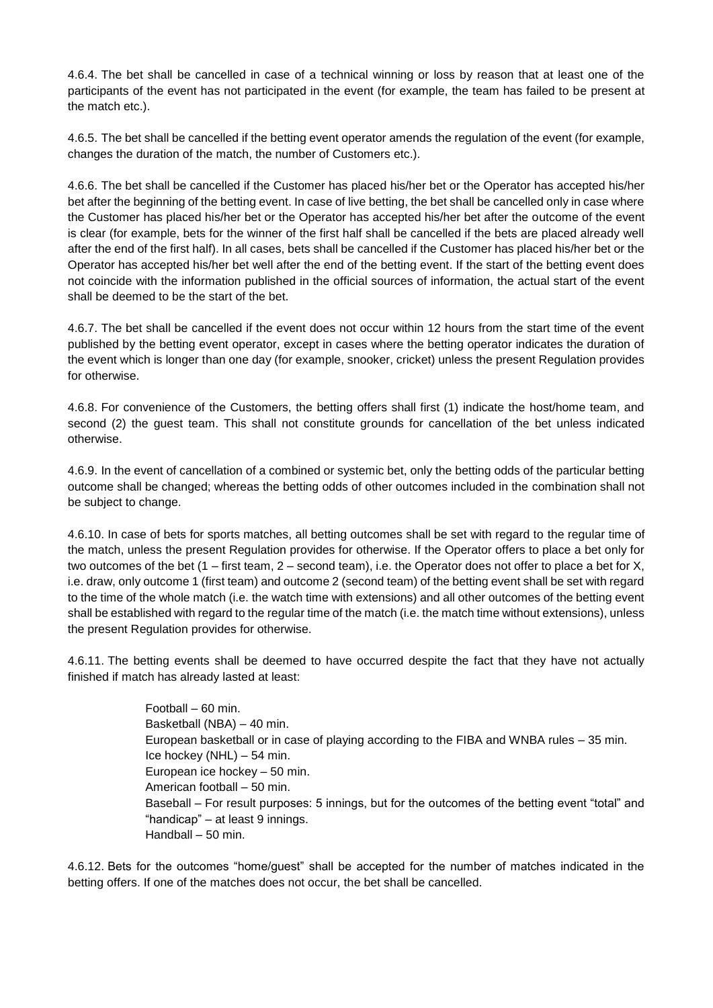4.6.4. The bet shall be cancelled in case of a technical winning or loss by reason that at least one of the participants of the event has not participated in the event (for example, the team has failed to be present at the match etc.).

4.6.5. The bet shall be cancelled if the betting event operator amends the regulation of the event (for example, changes the duration of the match, the number of Customers etc.).

4.6.6. The bet shall be cancelled if the Customer has placed his/her bet or the Operator has accepted his/her bet after the beginning of the betting event. In case of live betting, the bet shall be cancelled only in case where the Customer has placed his/her bet or the Operator has accepted his/her bet after the outcome of the event is clear (for example, bets for the winner of the first half shall be cancelled if the bets are placed already well after the end of the first half). In all cases, bets shall be cancelled if the Customer has placed his/her bet or the Operator has accepted his/her bet well after the end of the betting event. If the start of the betting event does not coincide with the information published in the official sources of information, the actual start of the event shall be deemed to be the start of the bet.

4.6.7. The bet shall be cancelled if the event does not occur within 12 hours from the start time of the event published by the betting event operator, except in cases where the betting operator indicates the duration of the event which is longer than one day (for example, snooker, cricket) unless the present Regulation provides for otherwise.

4.6.8. For convenience of the Customers, the betting offers shall first (1) indicate the host/home team, and second (2) the guest team. This shall not constitute grounds for cancellation of the bet unless indicated otherwise.

4.6.9. In the event of cancellation of a combined or systemic bet, only the betting odds of the particular betting outcome shall be changed; whereas the betting odds of other outcomes included in the combination shall not be subject to change.

4.6.10. In case of bets for sports matches, all betting outcomes shall be set with regard to the regular time of the match, unless the present Regulation provides for otherwise. If the Operator offers to place a bet only for two outcomes of the bet (1 – first team, 2 – second team), i.e. the Operator does not offer to place a bet for X, i.e. draw, only outcome 1 (first team) and outcome 2 (second team) of the betting event shall be set with regard to the time of the whole match (i.e. the watch time with extensions) and all other outcomes of the betting event shall be established with regard to the regular time of the match (i.e. the match time without extensions), unless the present Regulation provides for otherwise.

4.6.11. The betting events shall be deemed to have occurred despite the fact that they have not actually finished if match has already lasted at least:

> Football – 60 min. Basketball (NBA) – 40 min. European basketball or in case of playing according to the FIBA and WNBA rules – 35 min. Ice hockey (NHL) – 54 min. European ice hockey – 50 min. American football – 50 min. Baseball – For result purposes: 5 innings, but for the outcomes of the betting event "total" and "handicap" – at least 9 innings. Handball – 50 min.

4.6.12. Bets for the outcomes "home/guest" shall be accepted for the number of matches indicated in the betting offers. If one of the matches does not occur, the bet shall be cancelled.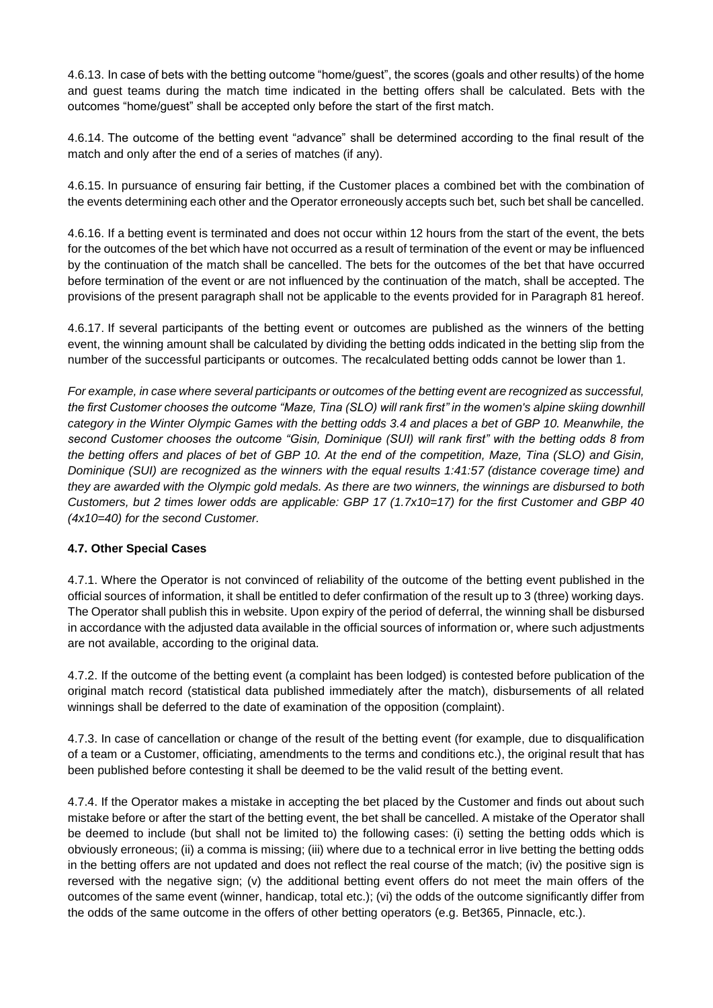4.6.13. In case of bets with the betting outcome "home/guest", the scores (goals and other results) of the home and guest teams during the match time indicated in the betting offers shall be calculated. Bets with the outcomes "home/guest" shall be accepted only before the start of the first match.

4.6.14. The outcome of the betting event "advance" shall be determined according to the final result of the match and only after the end of a series of matches (if any).

4.6.15. In pursuance of ensuring fair betting, if the Customer places a combined bet with the combination of the events determining each other and the Operator erroneously accepts such bet, such bet shall be cancelled.

4.6.16. If a betting event is terminated and does not occur within 12 hours from the start of the event, the bets for the outcomes of the bet which have not occurred as a result of termination of the event or may be influenced by the continuation of the match shall be cancelled. The bets for the outcomes of the bet that have occurred before termination of the event or are not influenced by the continuation of the match, shall be accepted. The provisions of the present paragraph shall not be applicable to the events provided for in Paragraph 81 hereof.

4.6.17. If several participants of the betting event or outcomes are published as the winners of the betting event, the winning amount shall be calculated by dividing the betting odds indicated in the betting slip from the number of the successful participants or outcomes. The recalculated betting odds cannot be lower than 1.

*For example, in case where several participants or outcomes of the betting event are recognized as successful, the first Customer chooses the outcome "Maze, Tina (SLO) will rank first" in the women's alpine skiing downhill category in the Winter Olympic Games with the betting odds 3.4 and places a bet of GBP 10. Meanwhile, the second Customer chooses the outcome "Gisin, Dominique (SUI) will rank first" with the betting odds 8 from the betting offers and places of bet of GBP 10. At the end of the competition, Maze, Tina (SLO) and Gisin, Dominique (SUI) are recognized as the winners with the equal results 1:41:57 (distance coverage time) and they are awarded with the Olympic gold medals. As there are two winners, the winnings are disbursed to both Customers, but 2 times lower odds are applicable: GBP 17 (1.7x10=17) for the first Customer and GBP 40 (4x10=40) for the second Customer.*

# **4.7. Other Special Cases**

4.7.1. Where the Operator is not convinced of reliability of the outcome of the betting event published in the official sources of information, it shall be entitled to defer confirmation of the result up to 3 (three) working days. The Operator shall publish this in website. Upon expiry of the period of deferral, the winning shall be disbursed in accordance with the adjusted data available in the official sources of information or, where such adjustments are not available, according to the original data.

4.7.2. If the outcome of the betting event (a complaint has been lodged) is contested before publication of the original match record (statistical data published immediately after the match), disbursements of all related winnings shall be deferred to the date of examination of the opposition (complaint).

4.7.3. In case of cancellation or change of the result of the betting event (for example, due to disqualification of a team or a Customer, officiating, amendments to the terms and conditions etc.), the original result that has been published before contesting it shall be deemed to be the valid result of the betting event.

4.7.4. If the Operator makes a mistake in accepting the bet placed by the Customer and finds out about such mistake before or after the start of the betting event, the bet shall be cancelled. A mistake of the Operator shall be deemed to include (but shall not be limited to) the following cases: (i) setting the betting odds which is obviously erroneous; (ii) a comma is missing; (iii) where due to a technical error in live betting the betting odds in the betting offers are not updated and does not reflect the real course of the match; (iv) the positive sign is reversed with the negative sign; (v) the additional betting event offers do not meet the main offers of the outcomes of the same event (winner, handicap, total etc.); (vi) the odds of the outcome significantly differ from the odds of the same outcome in the offers of other betting operators (e.g. Bet365, Pinnacle, etc.).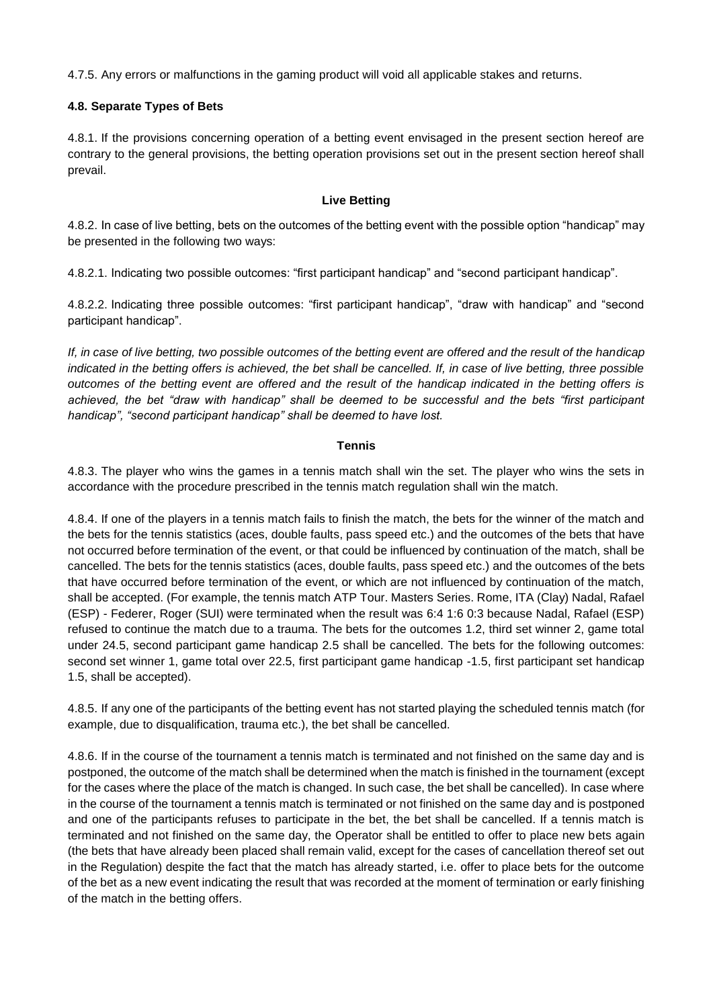4.7.5. Any errors or malfunctions in the gaming product will void all applicable stakes and returns.

## **4.8. Separate Types of Bets**

4.8.1. If the provisions concerning operation of a betting event envisaged in the present section hereof are contrary to the general provisions, the betting operation provisions set out in the present section hereof shall prevail.

## **Live Betting**

4.8.2. In case of live betting, bets on the outcomes of the betting event with the possible option "handicap" may be presented in the following two ways:

4.8.2.1. Indicating two possible outcomes: "first participant handicap" and "second participant handicap".

4.8.2.2. Indicating three possible outcomes: "first participant handicap", "draw with handicap" and "second participant handicap".

*If, in case of live betting, two possible outcomes of the betting event are offered and the result of the handicap indicated in the betting offers is achieved, the bet shall be cancelled. If, in case of live betting, three possible outcomes of the betting event are offered and the result of the handicap indicated in the betting offers is achieved, the bet "draw with handicap" shall be deemed to be successful and the bets "first participant handicap", "second participant handicap" shall be deemed to have lost.*

## **Tennis**

4.8.3. The player who wins the games in a tennis match shall win the set. The player who wins the sets in accordance with the procedure prescribed in the tennis match regulation shall win the match.

4.8.4. If one of the players in a tennis match fails to finish the match, the bets for the winner of the match and the bets for the tennis statistics (aces, double faults, pass speed etc.) and the outcomes of the bets that have not occurred before termination of the event, or that could be influenced by continuation of the match, shall be cancelled. The bets for the tennis statistics (aces, double faults, pass speed etc.) and the outcomes of the bets that have occurred before termination of the event, or which are not influenced by continuation of the match, shall be accepted. (For example, the tennis match ATP Tour. Masters Series. Rome, ITA (Clay) Nadal, Rafael (ESP) - Federer, Roger (SUI) were terminated when the result was 6:4 1:6 0:3 because Nadal, Rafael (ESP) refused to continue the match due to a trauma. The bets for the outcomes 1.2, third set winner 2, game total under 24.5, second participant game handicap 2.5 shall be cancelled. The bets for the following outcomes: second set winner 1, game total over 22.5, first participant game handicap -1.5, first participant set handicap 1.5, shall be accepted).

4.8.5. If any one of the participants of the betting event has not started playing the scheduled tennis match (for example, due to disqualification, trauma etc.), the bet shall be cancelled.

4.8.6. If in the course of the tournament a tennis match is terminated and not finished on the same day and is postponed, the outcome of the match shall be determined when the match is finished in the tournament (except for the cases where the place of the match is changed. In such case, the bet shall be cancelled). In case where in the course of the tournament a tennis match is terminated or not finished on the same day and is postponed and one of the participants refuses to participate in the bet, the bet shall be cancelled. If a tennis match is terminated and not finished on the same day, the Operator shall be entitled to offer to place new bets again (the bets that have already been placed shall remain valid, except for the cases of cancellation thereof set out in the Regulation) despite the fact that the match has already started, i.e. offer to place bets for the outcome of the bet as a new event indicating the result that was recorded at the moment of termination or early finishing of the match in the betting offers.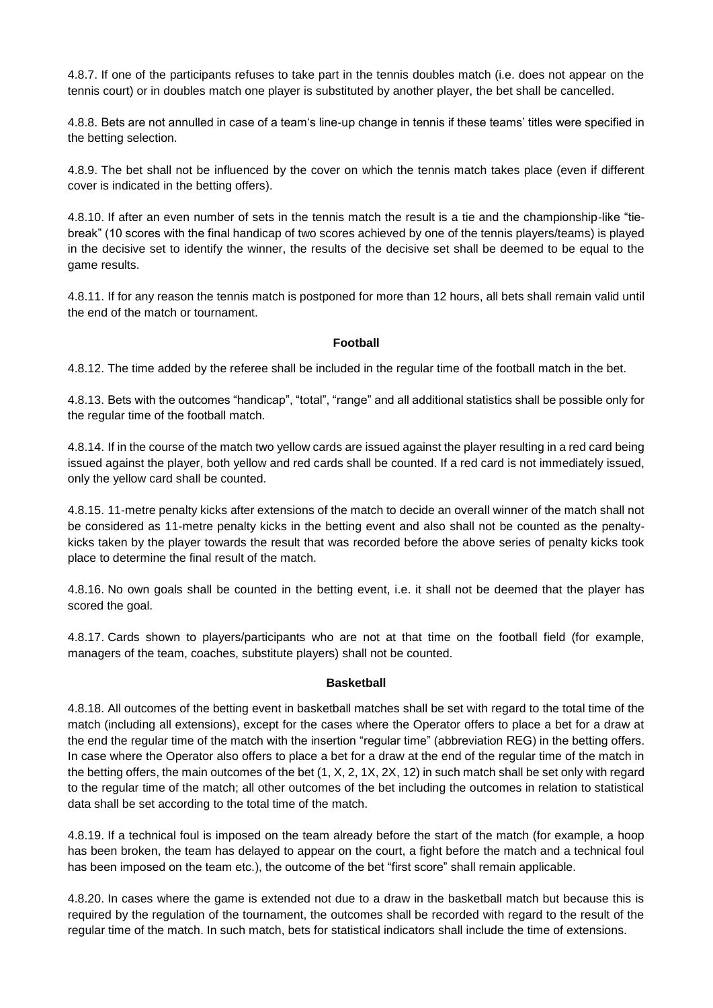4.8.7. If one of the participants refuses to take part in the tennis doubles match (i.e. does not appear on the tennis court) or in doubles match one player is substituted by another player, the bet shall be cancelled.

4.8.8. Bets are not annulled in case of a team's line-up change in tennis if these teams' titles were specified in the betting selection.

4.8.9. The bet shall not be influenced by the cover on which the tennis match takes place (even if different cover is indicated in the betting offers).

4.8.10. If after an even number of sets in the tennis match the result is a tie and the championship-like "tiebreak" (10 scores with the final handicap of two scores achieved by one of the tennis players/teams) is played in the decisive set to identify the winner, the results of the decisive set shall be deemed to be equal to the game results.

4.8.11. If for any reason the tennis match is postponed for more than 12 hours, all bets shall remain valid until the end of the match or tournament.

#### **Football**

4.8.12. The time added by the referee shall be included in the regular time of the football match in the bet.

4.8.13. Bets with the outcomes "handicap", "total", "range" and all additional statistics shall be possible only for the regular time of the football match.

4.8.14. If in the course of the match two yellow cards are issued against the player resulting in a red card being issued against the player, both yellow and red cards shall be counted. If a red card is not immediately issued, only the yellow card shall be counted.

4.8.15. 11-metre penalty kicks after extensions of the match to decide an overall winner of the match shall not be considered as 11-metre penalty kicks in the betting event and also shall not be counted as the penaltykicks taken by the player towards the result that was recorded before the above series of penalty kicks took place to determine the final result of the match.

4.8.16. No own goals shall be counted in the betting event, i.e. it shall not be deemed that the player has scored the goal.

4.8.17. Cards shown to players/participants who are not at that time on the football field (for example, managers of the team, coaches, substitute players) shall not be counted.

#### **Basketball**

4.8.18. All outcomes of the betting event in basketball matches shall be set with regard to the total time of the match (including all extensions), except for the cases where the Operator offers to place a bet for a draw at the end the regular time of the match with the insertion "regular time" (abbreviation REG) in the betting offers. In case where the Operator also offers to place a bet for a draw at the end of the regular time of the match in the betting offers, the main outcomes of the bet (1, X, 2, 1X, 2X, 12) in such match shall be set only with regard to the regular time of the match; all other outcomes of the bet including the outcomes in relation to statistical data shall be set according to the total time of the match.

4.8.19. If a technical foul is imposed on the team already before the start of the match (for example, a hoop has been broken, the team has delayed to appear on the court, a fight before the match and a technical foul has been imposed on the team etc.), the outcome of the bet "first score" shall remain applicable.

4.8.20. In cases where the game is extended not due to a draw in the basketball match but because this is required by the regulation of the tournament, the outcomes shall be recorded with regard to the result of the regular time of the match. In such match, bets for statistical indicators shall include the time of extensions.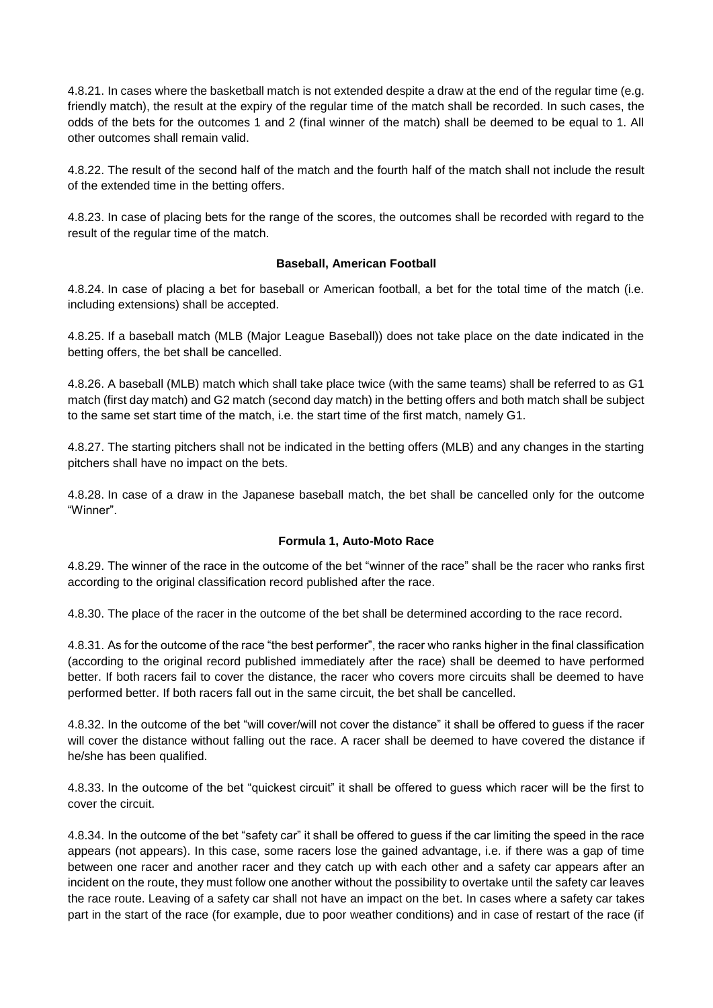4.8.21. In cases where the basketball match is not extended despite a draw at the end of the regular time (e.g. friendly match), the result at the expiry of the regular time of the match shall be recorded. In such cases, the odds of the bets for the outcomes 1 and 2 (final winner of the match) shall be deemed to be equal to 1. All other outcomes shall remain valid.

4.8.22. The result of the second half of the match and the fourth half of the match shall not include the result of the extended time in the betting offers.

4.8.23. In case of placing bets for the range of the scores, the outcomes shall be recorded with regard to the result of the regular time of the match.

## **Baseball, American Football**

4.8.24. In case of placing a bet for baseball or American football, a bet for the total time of the match (i.e. including extensions) shall be accepted.

4.8.25. If a baseball match (MLB (Major League Baseball)) does not take place on the date indicated in the betting offers, the bet shall be cancelled.

4.8.26. A baseball (MLB) match which shall take place twice (with the same teams) shall be referred to as G1 match (first day match) and G2 match (second day match) in the betting offers and both match shall be subject to the same set start time of the match, i.e. the start time of the first match, namely G1.

4.8.27. The starting pitchers shall not be indicated in the betting offers (MLB) and any changes in the starting pitchers shall have no impact on the bets.

4.8.28. In case of a draw in the Japanese baseball match, the bet shall be cancelled only for the outcome "Winner".

## **Formula 1, Auto-Moto Race**

4.8.29. The winner of the race in the outcome of the bet "winner of the race" shall be the racer who ranks first according to the original classification record published after the race.

4.8.30. The place of the racer in the outcome of the bet shall be determined according to the race record.

4.8.31. As for the outcome of the race "the best performer", the racer who ranks higher in the final classification (according to the original record published immediately after the race) shall be deemed to have performed better. If both racers fail to cover the distance, the racer who covers more circuits shall be deemed to have performed better. If both racers fall out in the same circuit, the bet shall be cancelled.

4.8.32. In the outcome of the bet "will cover/will not cover the distance" it shall be offered to guess if the racer will cover the distance without falling out the race. A racer shall be deemed to have covered the distance if he/she has been qualified.

4.8.33. In the outcome of the bet "quickest circuit" it shall be offered to guess which racer will be the first to cover the circuit.

4.8.34. In the outcome of the bet "safety car" it shall be offered to guess if the car limiting the speed in the race appears (not appears). In this case, some racers lose the gained advantage, i.e. if there was a gap of time between one racer and another racer and they catch up with each other and a safety car appears after an incident on the route, they must follow one another without the possibility to overtake until the safety car leaves the race route. Leaving of a safety car shall not have an impact on the bet. In cases where a safety car takes part in the start of the race (for example, due to poor weather conditions) and in case of restart of the race (if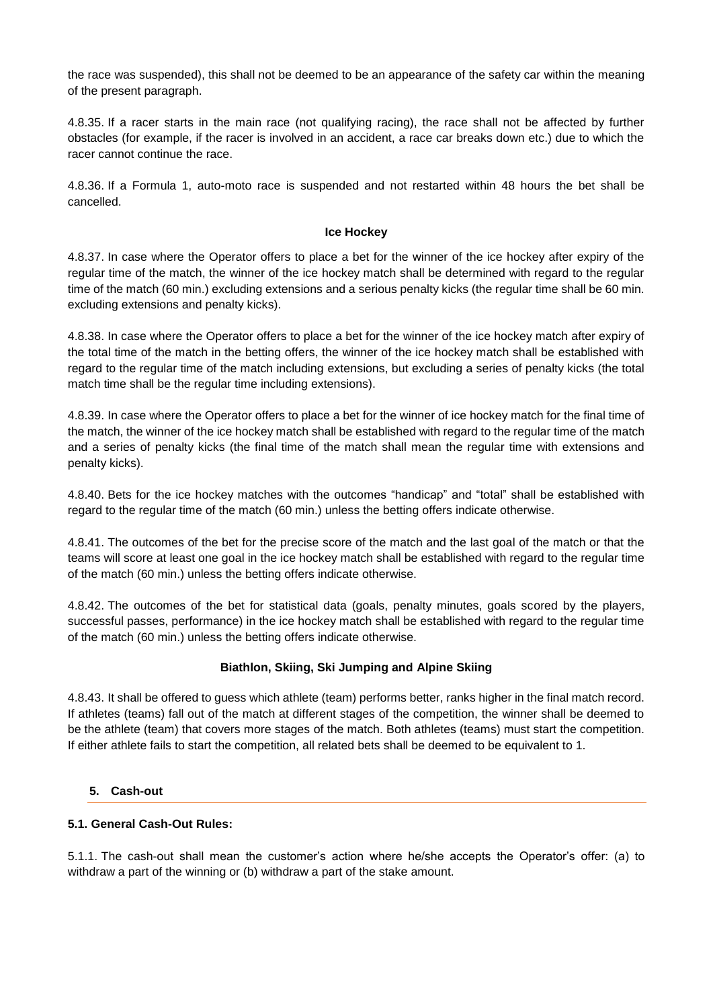the race was suspended), this shall not be deemed to be an appearance of the safety car within the meaning of the present paragraph.

4.8.35. If a racer starts in the main race (not qualifying racing), the race shall not be affected by further obstacles (for example, if the racer is involved in an accident, a race car breaks down etc.) due to which the racer cannot continue the race.

4.8.36. If a Formula 1, auto-moto race is suspended and not restarted within 48 hours the bet shall be cancelled.

#### **Ice Hockey**

4.8.37. In case where the Operator offers to place a bet for the winner of the ice hockey after expiry of the regular time of the match, the winner of the ice hockey match shall be determined with regard to the regular time of the match (60 min.) excluding extensions and a serious penalty kicks (the regular time shall be 60 min. excluding extensions and penalty kicks).

4.8.38. In case where the Operator offers to place a bet for the winner of the ice hockey match after expiry of the total time of the match in the betting offers, the winner of the ice hockey match shall be established with regard to the regular time of the match including extensions, but excluding a series of penalty kicks (the total match time shall be the regular time including extensions).

4.8.39. In case where the Operator offers to place a bet for the winner of ice hockey match for the final time of the match, the winner of the ice hockey match shall be established with regard to the regular time of the match and a series of penalty kicks (the final time of the match shall mean the regular time with extensions and penalty kicks).

4.8.40. Bets for the ice hockey matches with the outcomes "handicap" and "total" shall be established with regard to the regular time of the match (60 min.) unless the betting offers indicate otherwise.

4.8.41. The outcomes of the bet for the precise score of the match and the last goal of the match or that the teams will score at least one goal in the ice hockey match shall be established with regard to the regular time of the match (60 min.) unless the betting offers indicate otherwise.

4.8.42. The outcomes of the bet for statistical data (goals, penalty minutes, goals scored by the players, successful passes, performance) in the ice hockey match shall be established with regard to the regular time of the match (60 min.) unless the betting offers indicate otherwise.

## **Biathlon, Skiing, Ski Jumping and Alpine Skiing**

4.8.43. It shall be offered to guess which athlete (team) performs better, ranks higher in the final match record. If athletes (teams) fall out of the match at different stages of the competition, the winner shall be deemed to be the athlete (team) that covers more stages of the match. Both athletes (teams) must start the competition. If either athlete fails to start the competition, all related bets shall be deemed to be equivalent to 1.

## <span id="page-20-0"></span>**5. Cash-out**

## **5.1. General Cash-Out Rules:**

5.1.1. The cash-out shall mean the customer's action where he/she accepts the Operator's offer: (a) to withdraw a part of the winning or (b) withdraw a part of the stake amount.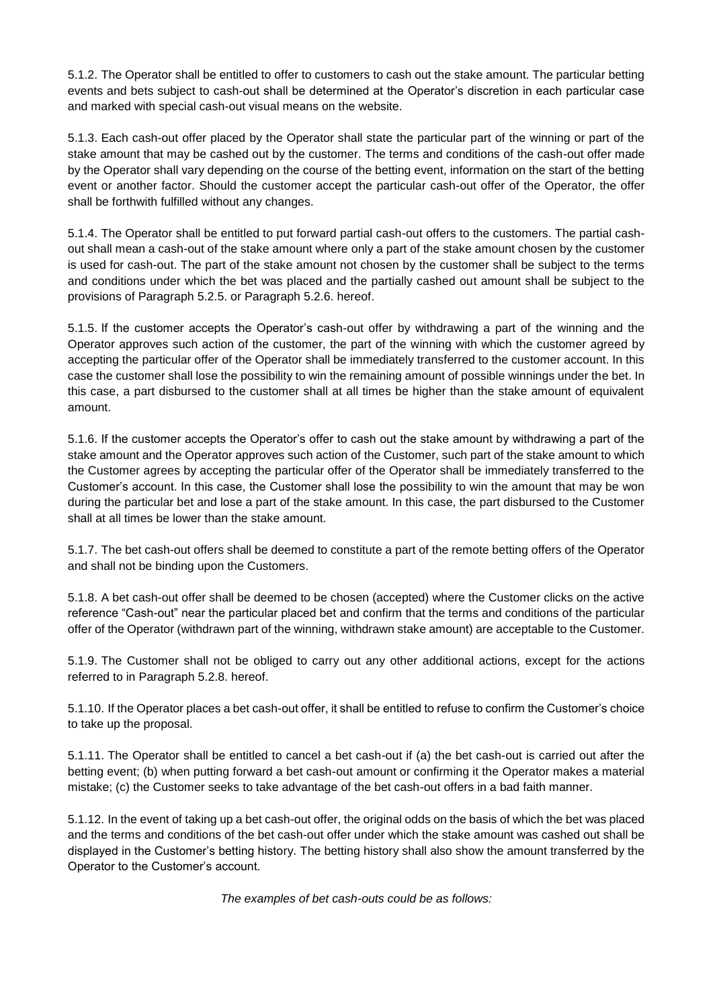5.1.2. The Operator shall be entitled to offer to customers to cash out the stake amount. The particular betting events and bets subject to cash-out shall be determined at the Operator's discretion in each particular case and marked with special cash-out visual means on the website.

5.1.3. Each cash-out offer placed by the Operator shall state the particular part of the winning or part of the stake amount that may be cashed out by the customer. The terms and conditions of the cash-out offer made by the Operator shall vary depending on the course of the betting event, information on the start of the betting event or another factor. Should the customer accept the particular cash-out offer of the Operator, the offer shall be forthwith fulfilled without any changes.

5.1.4. The Operator shall be entitled to put forward partial cash-out offers to the customers. The partial cashout shall mean a cash-out of the stake amount where only a part of the stake amount chosen by the customer is used for cash-out. The part of the stake amount not chosen by the customer shall be subject to the terms and conditions under which the bet was placed and the partially cashed out amount shall be subject to the provisions of Paragraph 5.2.5. or Paragraph 5.2.6. hereof.

5.1.5. If the customer accepts the Operator's cash-out offer by withdrawing a part of the winning and the Operator approves such action of the customer, the part of the winning with which the customer agreed by accepting the particular offer of the Operator shall be immediately transferred to the customer account. In this case the customer shall lose the possibility to win the remaining amount of possible winnings under the bet. In this case, a part disbursed to the customer shall at all times be higher than the stake amount of equivalent amount.

5.1.6. If the customer accepts the Operator's offer to cash out the stake amount by withdrawing a part of the stake amount and the Operator approves such action of the Customer, such part of the stake amount to which the Customer agrees by accepting the particular offer of the Operator shall be immediately transferred to the Customer's account. In this case, the Customer shall lose the possibility to win the amount that may be won during the particular bet and lose a part of the stake amount. In this case, the part disbursed to the Customer shall at all times be lower than the stake amount.

5.1.7. The bet cash-out offers shall be deemed to constitute a part of the remote betting offers of the Operator and shall not be binding upon the Customers.

5.1.8. A bet cash-out offer shall be deemed to be chosen (accepted) where the Customer clicks on the active reference "Cash-out" near the particular placed bet and confirm that the terms and conditions of the particular offer of the Operator (withdrawn part of the winning, withdrawn stake amount) are acceptable to the Customer.

5.1.9. The Customer shall not be obliged to carry out any other additional actions, except for the actions referred to in Paragraph 5.2.8. hereof.

5.1.10. If the Operator places a bet cash-out offer, it shall be entitled to refuse to confirm the Customer's choice to take up the proposal.

5.1.11. The Operator shall be entitled to cancel a bet cash-out if (a) the bet cash-out is carried out after the betting event; (b) when putting forward a bet cash-out amount or confirming it the Operator makes a material mistake; (c) the Customer seeks to take advantage of the bet cash-out offers in a bad faith manner.

5.1.12. In the event of taking up a bet cash-out offer, the original odds on the basis of which the bet was placed and the terms and conditions of the bet cash-out offer under which the stake amount was cashed out shall be displayed in the Customer's betting history. The betting history shall also show the amount transferred by the Operator to the Customer's account.

*The examples of bet cash-outs could be as follows:*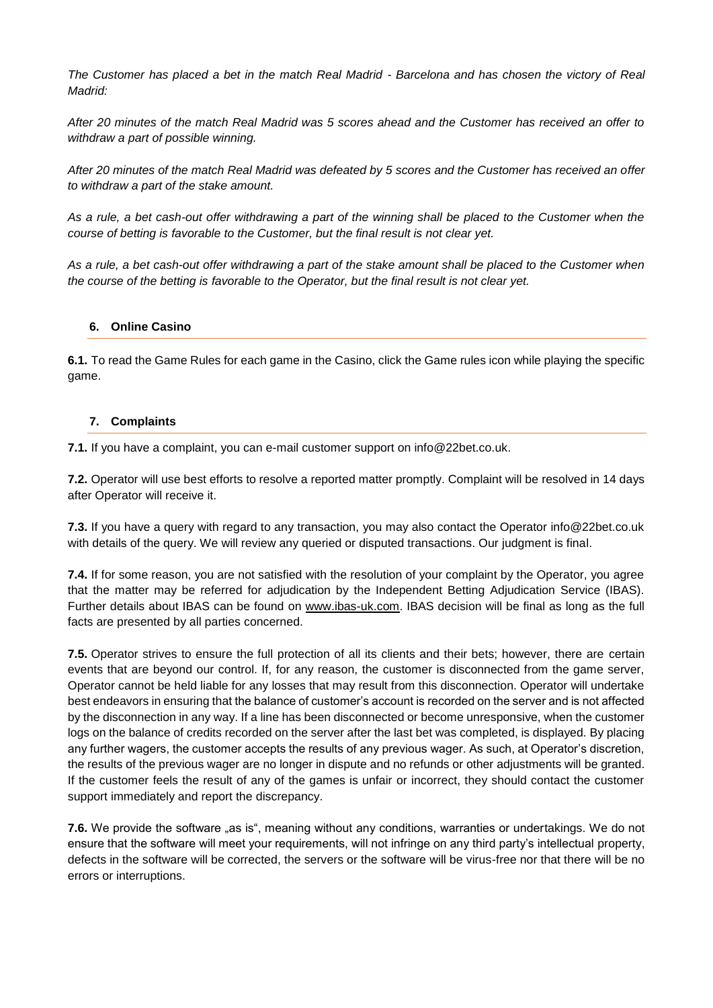*The Customer has placed a bet in the match Real Madrid - Barcelona and has chosen the victory of Real Madrid:*

*After 20 minutes of the match Real Madrid was 5 scores ahead and the Customer has received an offer to withdraw a part of possible winning.*

*After 20 minutes of the match Real Madrid was defeated by 5 scores and the Customer has received an offer to withdraw a part of the stake amount.*

*As a rule, a bet cash-out offer withdrawing a part of the winning shall be placed to the Customer when the course of betting is favorable to the Customer, but the final result is not clear yet.*

*As a rule, a bet cash-out offer withdrawing a part of the stake amount shall be placed to the Customer when the course of the betting is favorable to the Operator, but the final result is not clear yet.*

## <span id="page-22-0"></span>**6. Online Casino**

**6.1.** To read the Game Rules for each game in the Casino, click the Game rules icon while playing the specific game.

#### <span id="page-22-1"></span>**7. Complaints**

**7.1.** If you have a complaint, you can e-mail customer support on info@22bet.co.uk.

**7.2.** Operator will use best efforts to resolve a reported matter promptly. Complaint will be resolved in 14 days after Operator will receive it.

**7.3.** If you have a query with regard to any transaction, you may also contact the Operator info@22bet.co.uk with details of the query. We will review any queried or disputed transactions. Our judgment is final.

**7.4.** If for some reason, you are not satisfied with the resolution of your complaint by the Operator, you agree that the matter may be referred for adjudication by the Independent Betting Adjudication Service (IBAS). Further details about IBAS can be found on [www.ibas-uk.com.](http://www.ibas-uk.com/) IBAS decision will be final as long as the full facts are presented by all parties concerned.

**7.5.** Operator strives to ensure the full protection of all its clients and their bets; however, there are certain events that are beyond our control. If, for any reason, the customer is disconnected from the game server, Operator cannot be held liable for any losses that may result from this disconnection. Operator will undertake best endeavors in ensuring that the balance of customer's account is recorded on the server and is not affected by the disconnection in any way. If a line has been disconnected or become unresponsive, when the customer logs on the balance of credits recorded on the server after the last bet was completed, is displayed. By placing any further wagers, the customer accepts the results of any previous wager. As such, at Operator's discretion, the results of the previous wager are no longer in dispute and no refunds or other adjustments will be granted. If the customer feels the result of any of the games is unfair or incorrect, they should contact the customer support immediately and report the discrepancy.

**7.6.** We provide the software "as is", meaning without any conditions, warranties or undertakings. We do not ensure that the software will meet your requirements, will not infringe on any third party's intellectual property, defects in the software will be corrected, the servers or the software will be virus-free nor that there will be no errors or interruptions.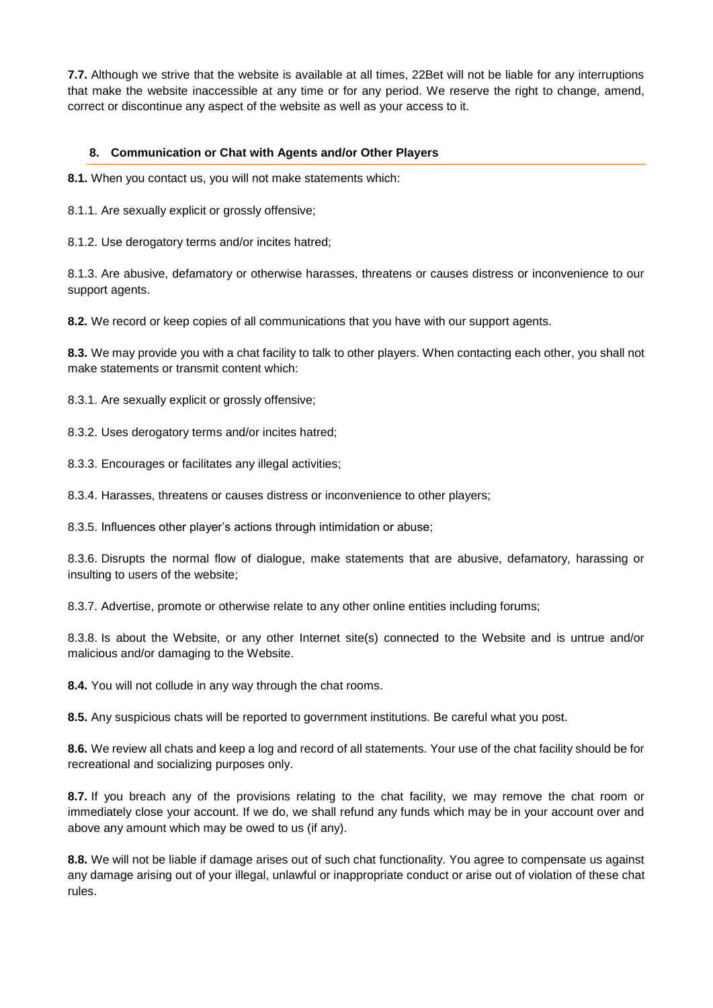**7.7.** Although we strive that the website is available at all times, 22Bet will not be liable for any interruptions that make the website inaccessible at any time or for any period. We reserve the right to change, amend, correct or discontinue any aspect of the website as well as your access to it.

## <span id="page-23-0"></span>**8. Communication or Chat with Agents and/or Other Players**

**8.1.** When you contact us, you will not make statements which:

8.1.1. Are sexually explicit or grossly offensive;

8.1.2. Use derogatory terms and/or incites hatred;

8.1.3. Are abusive, defamatory or otherwise harasses, threatens or causes distress or inconvenience to our support agents.

**8.2.** We record or keep copies of all communications that you have with our support agents.

**8.3.** We may provide you with a chat facility to talk to other players. When contacting each other, you shall not make statements or transmit content which:

8.3.1. Are sexually explicit or grossly offensive;

8.3.2. Uses derogatory terms and/or incites hatred;

8.3.3. Encourages or facilitates any illegal activities;

8.3.4. Harasses, threatens or causes distress or inconvenience to other players;

8.3.5. Influences other player's actions through intimidation or abuse;

8.3.6. Disrupts the normal flow of dialogue, make statements that are abusive, defamatory, harassing or insulting to users of the website;

8.3.7. Advertise, promote or otherwise relate to any other online entities including forums;

8.3.8. Is about the Website, or any other Internet site(s) connected to the Website and is untrue and/or malicious and/or damaging to the Website.

**8.4.** You will not collude in any way through the chat rooms.

**8.5.** Any suspicious chats will be reported to government institutions. Be careful what you post.

**8.6.** We review all chats and keep a log and record of all statements. Your use of the chat facility should be for recreational and socializing purposes only.

**8.7.** If you breach any of the provisions relating to the chat facility, we may remove the chat room or immediately close your account. If we do, we shall refund any funds which may be in your account over and above any amount which may be owed to us (if any).

**8.8.** We will not be liable if damage arises out of such chat functionality. You agree to compensate us against any damage arising out of your illegal, unlawful or inappropriate conduct or arise out of violation of these chat rules.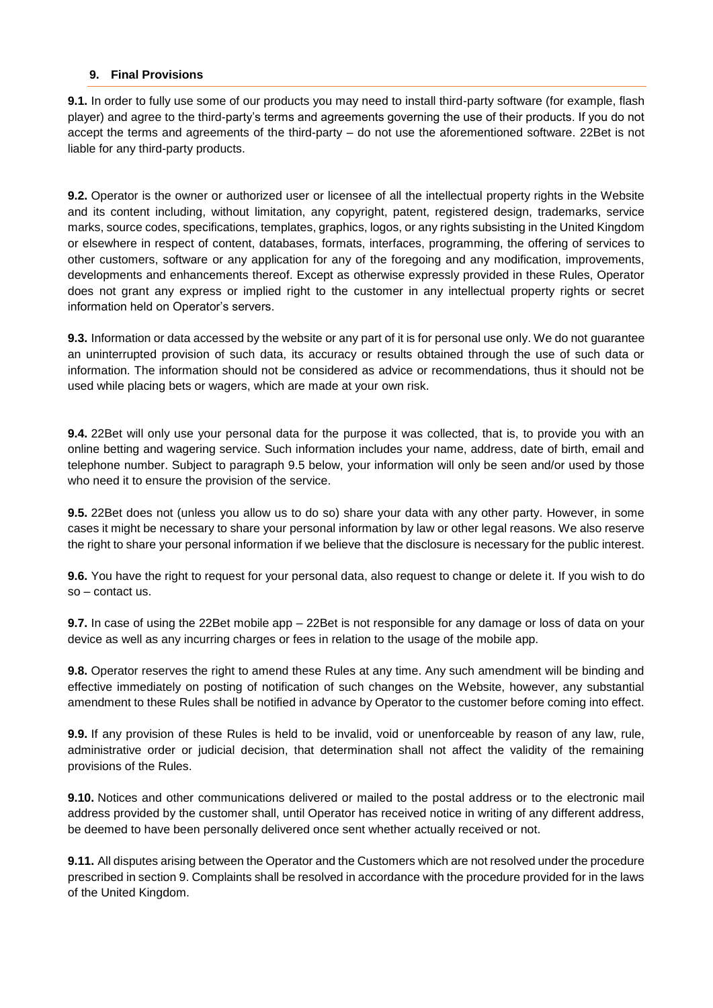## <span id="page-24-0"></span>**9. Final Provisions**

**9.1.** In order to fully use some of our products you may need to install third-party software (for example, flash player) and agree to the third-party's terms and agreements governing the use of their products. If you do not accept the terms and agreements of the third-party – do not use the aforementioned software. 22Bet is not liable for any third-party products.

**9.2.** Operator is the owner or authorized user or licensee of all the intellectual property rights in the Website and its content including, without limitation, any copyright, patent, registered design, trademarks, service marks, source codes, specifications, templates, graphics, logos, or any rights subsisting in the United Kingdom or elsewhere in respect of content, databases, formats, interfaces, programming, the offering of services to other customers, software or any application for any of the foregoing and any modification, improvements, developments and enhancements thereof. Except as otherwise expressly provided in these Rules, Operator does not grant any express or implied right to the customer in any intellectual property rights or secret information held on Operator's servers.

**9.3.** Information or data accessed by the website or any part of it is for personal use only. We do not guarantee an uninterrupted provision of such data, its accuracy or results obtained through the use of such data or information. The information should not be considered as advice or recommendations, thus it should not be used while placing bets or wagers, which are made at your own risk.

**9.4.** 22Bet will only use your personal data for the purpose it was collected, that is, to provide you with an online betting and wagering service. Such information includes your name, address, date of birth, email and telephone number. Subject to paragraph 9.5 below, your information will only be seen and/or used by those who need it to ensure the provision of the service.

**9.5.** 22Bet does not (unless you allow us to do so) share your data with any other party. However, in some cases it might be necessary to share your personal information by law or other legal reasons. We also reserve the right to share your personal information if we believe that the disclosure is necessary for the public interest.

**9.6.** You have the right to request for your personal data, also request to change or delete it. If you wish to do so – contact us.

**9.7.** In case of using the 22Bet mobile app – 22Bet is not responsible for any damage or loss of data on your device as well as any incurring charges or fees in relation to the usage of the mobile app.

**9.8.** Operator reserves the right to amend these Rules at any time. Any such amendment will be binding and effective immediately on posting of notification of such changes on the Website, however, any substantial amendment to these Rules shall be notified in advance by Operator to the customer before coming into effect.

**9.9.** If any provision of these Rules is held to be invalid, void or unenforceable by reason of any law, rule, administrative order or judicial decision, that determination shall not affect the validity of the remaining provisions of the Rules.

**9.10.** Notices and other communications delivered or mailed to the postal address or to the electronic mail address provided by the customer shall, until Operator has received notice in writing of any different address, be deemed to have been personally delivered once sent whether actually received or not.

**9.11.** All disputes arising between the Operator and the Customers which are not resolved under the procedure prescribed in section 9. Complaints shall be resolved in accordance with the procedure provided for in the laws of the United Kingdom.